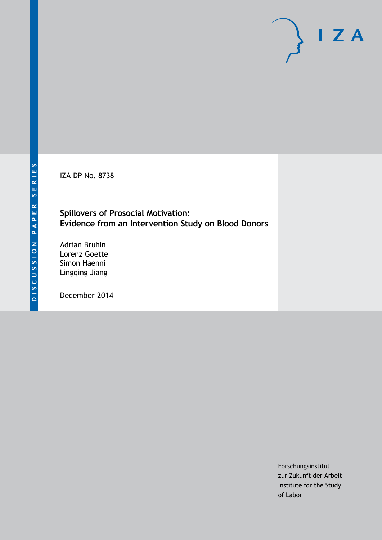IZA DP No. 8738

# **Spillovers of Prosocial Motivation: Evidence from an Intervention Study on Blood Donors**

Adrian Bruhin Lorenz Goette Simon Haenni Lingqing Jiang

December 2014

Forschungsinstitut zur Zukunft der Arbeit Institute for the Study of Labor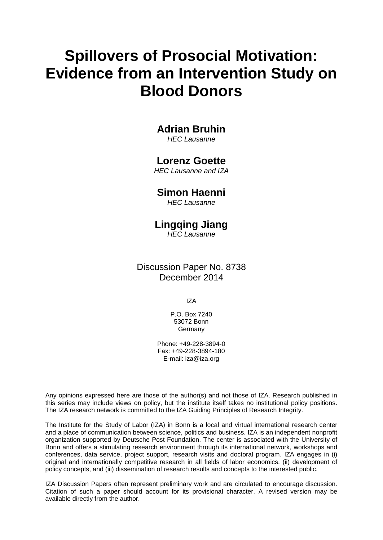# **Spillovers of Prosocial Motivation: Evidence from an Intervention Study on Blood Donors**

# **Adrian Bruhin**

*HEC Lausanne*

# **Lorenz Goette**

*HEC Lausanne and IZA*

# **Simon Haenni**

*HEC Lausanne*

# **Lingqing Jiang**

*HEC Lausanne*

# Discussion Paper No. 8738 December 2014

IZA

P.O. Box 7240 53072 Bonn Germany

Phone: +49-228-3894-0 Fax: +49-228-3894-180 E-mail: [iza@iza.org](mailto:iza@iza.org)

Any opinions expressed here are those of the author(s) and not those of IZA. Research published in this series may include views on policy, but the institute itself takes no institutional policy positions. The IZA research network is committed to the IZA Guiding Principles of Research Integrity.

The Institute for the Study of Labor (IZA) in Bonn is a local and virtual international research center and a place of communication between science, politics and business. IZA is an independent nonprofit organization supported by Deutsche Post Foundation. The center is associated with the University of Bonn and offers a stimulating research environment through its international network, workshops and conferences, data service, project support, research visits and doctoral program. IZA engages in (i) original and internationally competitive research in all fields of labor economics, (ii) development of policy concepts, and (iii) dissemination of research results and concepts to the interested public.

IZA Discussion Papers often represent preliminary work and are circulated to encourage discussion. Citation of such a paper should account for its provisional character. A revised version may be available directly from the author.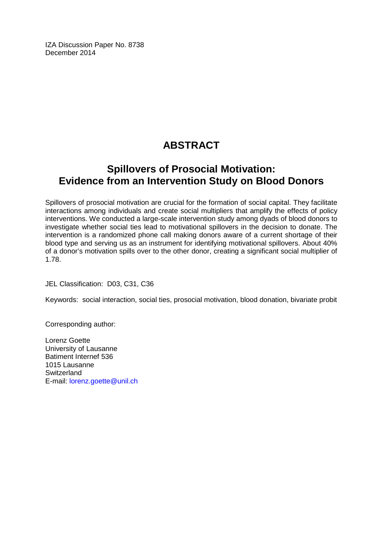IZA Discussion Paper No. 8738 December 2014

# **ABSTRACT**

# **Spillovers of Prosocial Motivation: Evidence from an Intervention Study on Blood Donors**

Spillovers of prosocial motivation are crucial for the formation of social capital. They facilitate interactions among individuals and create social multipliers that amplify the effects of policy interventions. We conducted a large-scale intervention study among dyads of blood donors to investigate whether social ties lead to motivational spillovers in the decision to donate. The intervention is a randomized phone call making donors aware of a current shortage of their blood type and serving us as an instrument for identifying motivational spillovers. About 40% of a donor's motivation spills over to the other donor, creating a significant social multiplier of 1.78.

JEL Classification: D03, C31, C36

Keywords: social interaction, social ties, prosocial motivation, blood donation, bivariate probit

Corresponding author:

Lorenz Goette University of Lausanne Batiment Internef 536 1015 Lausanne **Switzerland** E-mail: [lorenz.goette@unil.ch](mailto:lorenz.goette@unil.ch)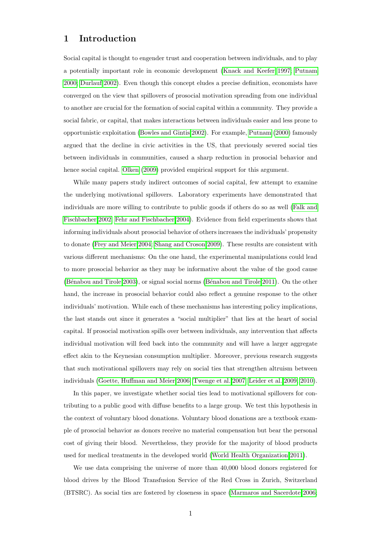### 1 Introduction

Social capital is thought to engender trust and cooperation between individuals, and to play a potentially important role in economic development [\(Knack and Keefer 1997;](#page-42-0) [Putnam](#page-43-0) [2000;](#page-43-0) [Durlauf 2002\)](#page-41-0). Even though this concept eludes a precise definition, economists have converged on the view that spillovers of prosocial motivation spreading from one individual to another are crucial for the formation of social capital within a community. They provide a social fabric, or capital, that makes interactions between individuals easier and less prone to opportunistic exploitation [\(Bowles and Gintis 2002\)](#page-40-0). For example, [Putnam](#page-43-0) [\(2000\)](#page-43-0) famously argued that the decline in civic activities in the US, that previously severed social ties between individuals in communities, caused a sharp reduction in prosocial behavior and hence social capital. [Olken](#page-43-1) [\(2009\)](#page-43-1) provided empirical support for this argument.

While many papers study indirect outcomes of social capital, few attempt to examine the underlying motivational spillovers. Laboratory experiments have demonstrated that individuals are more willing to contribute to public goods if others do so as well [\(Falk and](#page-41-1) [Fischbacher 2002;](#page-41-1) [Fehr and Fischbacher 2004\)](#page-41-2). Evidence from field experiments shows that informing individuals about prosocial behavior of others increases the individuals' propensity to donate [\(Frey and Meier 2004;](#page-41-3) [Shang and Croson 2009\)](#page-43-2). These results are consistent with various different mechanisms: On the one hand, the experimental manipulations could lead to more prosocial behavior as they may be informative about the value of the good cause (Bénabou and Tirole 2003), or signal social norms (Bénabou and Tirole 2011). On the other hand, the increase in prosocial behavior could also reflect a genuine response to the other individuals' motivation. While each of these mechanisms has interesting policy implications, the last stands out since it generates a "social multiplier" that lies at the heart of social capital. If prosocial motivation spills over between individuals, any intervention that affects individual motivation will feed back into the community and will have a larger aggregate effect akin to the Keynesian consumption multiplier. Moreover, previous research suggests that such motivational spillovers may rely on social ties that strengthen altruism between individuals [\(Goette, Huffman and Meier 2006;](#page-41-4) [Twenge et al. 2007;](#page-43-3) [Leider et al. 2009,](#page-42-1) [2010\)](#page-42-2).

In this paper, we investigate whether social ties lead to motivational spillovers for contributing to a public good with diffuse benefits to a large group. We test this hypothesis in the context of voluntary blood donations. Voluntary blood donations are a textbook example of prosocial behavior as donors receive no material compensation but bear the personal cost of giving their blood. Nevertheless, they provide for the majority of blood products used for medical treatments in the developed world [\(World Health Organization 2011\)](#page-44-0).

We use data comprising the universe of more than 40,000 blood donors registered for blood drives by the Blood Transfusion Service of the Red Cross in Zurich, Switzerland (BTSRC). As social ties are fostered by closeness in space [\(Marmaros and Sacerdote 2006;](#page-43-4)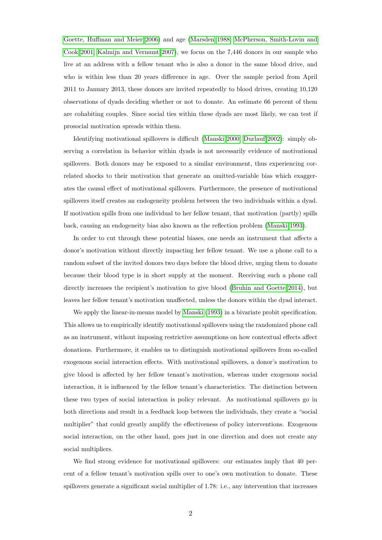[Goette, Huffman and Meier 2006\)](#page-41-4) and age [\(Marsden 1988;](#page-43-5) [McPherson, Smith-Lovin and](#page-43-6) [Cook 2001;](#page-43-6) [Kalmijn and Vermunt 2007\)](#page-42-3), we focus on the 7,446 donors in our sample who live at an address with a fellow tenant who is also a donor in the same blood drive, and who is within less than 20 years difference in age. Over the sample period from April 2011 to January 2013, these donors are invited repeatedly to blood drives, creating 10,120 observations of dyads deciding whether or not to donate. An estimate 66 percent of them are cohabiting couples. Since social ties within these dyads are most likely, we can test if prosocial motivation spreads within them.

Identifying motivational spillovers is difficult [\(Manski 2000;](#page-43-7) [Durlauf 2002\)](#page-41-0): simply observing a correlation in behavior within dyads is not necessarily evidence of motivational spillovers. Both donors may be exposed to a similar environment, thus experiencing correlated shocks to their motivation that generate an omitted-variable bias which exaggerates the causal effect of motivational spillovers. Furthermore, the presence of motivational spillovers itself creates an endogeneity problem between the two individuals within a dyad. If motivation spills from one individual to her fellow tenant, that motivation (partly) spills back, causing an endogeneity bias also known as the reflection problem [\(Manski 1993\)](#page-43-8).

In order to cut through these potential biases, one needs an instrument that affects a donor's motivation without directly impacting her fellow tenant. We use a phone call to a random subset of the invited donors two days before the blood drive, urging them to donate because their blood type is in short supply at the moment. Receiving such a phone call directly increases the recipient's motivation to give blood [\(Bruhin and Goette 2014\)](#page-40-3), but leaves her fellow tenant's motivation unaffected, unless the donors within the dyad interact.

We apply the linear-in-means model by [Manski](#page-43-8) [\(1993\)](#page-43-8) in a bivariate probit specification. This allows us to empirically identify motivational spillovers using the randomized phone call as an instrument, without imposing restrictive assumptions on how contextual effects affect donations. Furthermore, it enables us to distinguish motivational spillovers from so-called exogenous social interaction effects. With motivational spillovers, a donor's motivation to give blood is affected by her fellow tenant's motivation, whereas under exogenous social interaction, it is influenced by the fellow tenant's characteristics. The distinction between these two types of social interaction is policy relevant. As motivational spillovers go in both directions and result in a feedback loop between the individuals, they create a "social multiplier" that could greatly amplify the effectiveness of policy interventions. Exogenous social interaction, on the other hand, goes just in one direction and does not create any social multipliers.

We find strong evidence for motivational spillovers: our estimates imply that 40 percent of a fellow tenant's motivation spills over to one's own motivation to donate. These spillovers generate a significant social multiplier of 1.78: i.e., any intervention that increases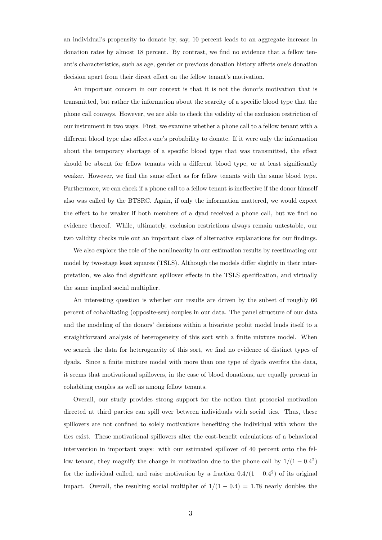an individual's propensity to donate by, say, 10 percent leads to an aggregate increase in donation rates by almost 18 percent. By contrast, we find no evidence that a fellow tenant's characteristics, such as age, gender or previous donation history affects one's donation decision apart from their direct effect on the fellow tenant's motivation.

An important concern in our context is that it is not the donor's motivation that is transmitted, but rather the information about the scarcity of a specific blood type that the phone call conveys. However, we are able to check the validity of the exclusion restriction of our instrument in two ways. First, we examine whether a phone call to a fellow tenant with a different blood type also affects one's probability to donate. If it were only the information about the temporary shortage of a specific blood type that was transmitted, the effect should be absent for fellow tenants with a different blood type, or at least significantly weaker. However, we find the same effect as for fellow tenants with the same blood type. Furthermore, we can check if a phone call to a fellow tenant is ineffective if the donor himself also was called by the BTSRC. Again, if only the information mattered, we would expect the effect to be weaker if both members of a dyad received a phone call, but we find no evidence thereof. While, ultimately, exclusion restrictions always remain untestable, our two validity checks rule out an important class of alternative explanations for our findings.

We also explore the role of the nonlinearity in our estimation results by reestimating our model by two-stage least squares (TSLS). Although the models differ slightly in their interpretation, we also find significant spillover effects in the TSLS specification, and virtually the same implied social multiplier.

An interesting question is whether our results are driven by the subset of roughly 66 percent of cohabitating (opposite-sex) couples in our data. The panel structure of our data and the modeling of the donors' decisions within a bivariate probit model lends itself to a straightforward analysis of heterogeneity of this sort with a finite mixture model. When we search the data for heterogeneity of this sort, we find no evidence of distinct types of dyads. Since a finite mixture model with more than one type of dyads overfits the data, it seems that motivational spillovers, in the case of blood donations, are equally present in cohabiting couples as well as among fellow tenants.

Overall, our study provides strong support for the notion that prosocial motivation directed at third parties can spill over between individuals with social ties. Thus, these spillovers are not confined to solely motivations benefiting the individual with whom the ties exist. These motivational spillovers alter the cost-benefit calculations of a behavioral intervention in important ways: with our estimated spillover of 40 percent onto the fellow tenant, they magnify the change in motivation due to the phone call by  $1/(1-0.4^2)$ for the individual called, and raise motivation by a fraction  $0.4/(1 - 0.4^2)$  of its original impact. Overall, the resulting social multiplier of  $1/(1 - 0.4) = 1.78$  nearly doubles the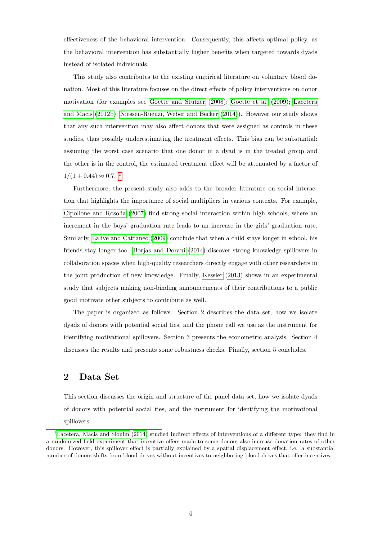effectiveness of the behavioral intervention. Consequently, this affects optimal policy, as the behavioral intervention has substantially higher benefits when targeted towards dyads instead of isolated individuals.

This study also contributes to the existing empirical literature on voluntary blood donation. Most of this literature focuses on the direct effects of policy interventions on donor motivation (for examples see [Goette and Stutzer](#page-41-5) [\(2008\)](#page-41-5); [Goette et al.](#page-41-6) [\(2009\)](#page-41-6); [Lacetera](#page-42-4) [and Macis](#page-42-4) [\(2012b\)](#page-42-4); [Niessen-Ruenzi, Weber and Becker](#page-43-9) [\(2014\)](#page-43-9)). However our study shows that any such intervention may also affect donors that were assigned as controls in these studies, thus possibly underestimating the treatment effects. This bias can be substantial: assuming the worst case scenario that one donor in a dyad is in the treated group and the other is in the control, the estimated treatment effect will be attenuated by a factor of  $1/(1+0.44) \approx 0.7$  $1/(1+0.44) \approx 0.7$ .<sup>1</sup>

Furthermore, the present study also adds to the broader literature on social interaction that highlights the importance of social multipliers in various contexts. For example, [Cipollone and Rosolia](#page-41-7) [\(2007\)](#page-41-7) find strong social interaction within high schools, where an increment in the boys' graduation rate leads to an increase in the girls' graduation rate. Similarly, [Lalive and Cattaneo](#page-42-5) [\(2009\)](#page-42-5) conclude that when a child stays longer in school, his friends stay longer too. [Borjas and Dorani](#page-40-4) [\(2014\)](#page-40-4) discover strong knowledge spillovers in collaboration spaces when high-quality researchers directly engage with other researchers in the joint production of new knowledge. Finally, [Kessler](#page-42-6) [\(2013\)](#page-42-6) shows in an experimental study that subjects making non-binding announcements of their contributions to a public good motivate other subjects to contribute as well.

The paper is organized as follows. Section 2 describes the data set, how we isolate dyads of donors with potential social ties, and the phone call we use as the instrument for identifying motivational spillovers. Section 3 presents the econometric analysis. Section 4 discusses the results and presents some robustness checks. Finally, section 5 concludes.

### 2 Data Set

This section discusses the origin and structure of the panel data set, how we isolate dyads of donors with potential social ties, and the instrument for identifying the motivational spillovers.

<sup>&</sup>lt;sup>1</sup>[Lacetera, Macis and Slonim](#page-42-7) [\(2014\)](#page-42-7) studied indirect effects of interventions of a different type: they find in a randomized field experiment that incentive offers made to some donors also increase donation rates of other donors. However, this spillover effect is partially explained by a spatial displacement effect, i.e. a substantial number of donors shifts from blood drives without incentives to neighboring blood drives that offer incentives.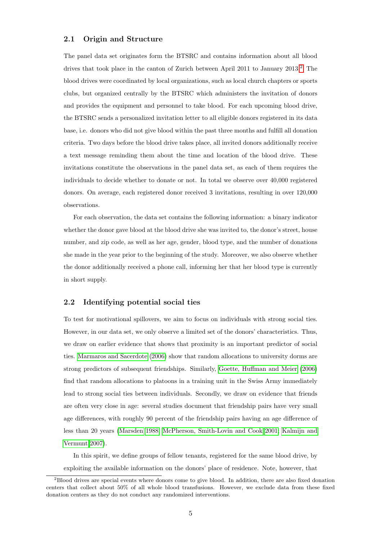#### 2.1 Origin and Structure

The panel data set originates form the BTSRC and contains information about all blood drives that took place in the canton of Zurich between April [2](#page--1-0)011 to January  $2013.2$  The blood drives were coordinated by local organizations, such as local church chapters or sports clubs, but organized centrally by the BTSRC which administers the invitation of donors and provides the equipment and personnel to take blood. For each upcoming blood drive, the BTSRC sends a personalized invitation letter to all eligible donors registered in its data base, i.e. donors who did not give blood within the past three months and fulfill all donation criteria. Two days before the blood drive takes place, all invited donors additionally receive a text message reminding them about the time and location of the blood drive. These invitations constitute the observations in the panel data set, as each of them requires the individuals to decide whether to donate or not. In total we observe over 40,000 registered donors. On average, each registered donor received 3 invitations, resulting in over 120,000 observations.

For each observation, the data set contains the following information: a binary indicator whether the donor gave blood at the blood drive she was invited to, the donor's street, house number, and zip code, as well as her age, gender, blood type, and the number of donations she made in the year prior to the beginning of the study. Moreover, we also observe whether the donor additionally received a phone call, informing her that her blood type is currently in short supply.

#### <span id="page-7-0"></span>2.2 Identifying potential social ties

To test for motivational spillovers, we aim to focus on individuals with strong social ties. However, in our data set, we only observe a limited set of the donors' characteristics. Thus, we draw on earlier evidence that shows that proximity is an important predictor of social ties. [Marmaros and Sacerdote](#page-43-4) [\(2006\)](#page-43-4) show that random allocations to university dorms are strong predictors of subsequent friendships. Similarly, [Goette, Huffman and Meier](#page-41-4) [\(2006\)](#page-41-4) find that random allocations to platoons in a training unit in the Swiss Army immediately lead to strong social ties between individuals. Secondly, we draw on evidence that friends are often very close in age: several studies document that friendship pairs have very small age differences, with roughly 90 percent of the friendship pairs having an age difference of less than 20 years [\(Marsden 1988;](#page-43-5) [McPherson, Smith-Lovin and Cook 2001;](#page-43-6) [Kalmijn and](#page-42-3) [Vermunt 2007\)](#page-42-3).

In this spirit, we define groups of fellow tenants, registered for the same blood drive, by exploiting the available information on the donors' place of residence. Note, however, that

<sup>&</sup>lt;sup>2</sup>Blood drives are special events where donors come to give blood. In addition, there are also fixed donation centers that collect about 50% of all whole blood transfusions. However, we exclude data from these fixed donation centers as they do not conduct any randomized interventions.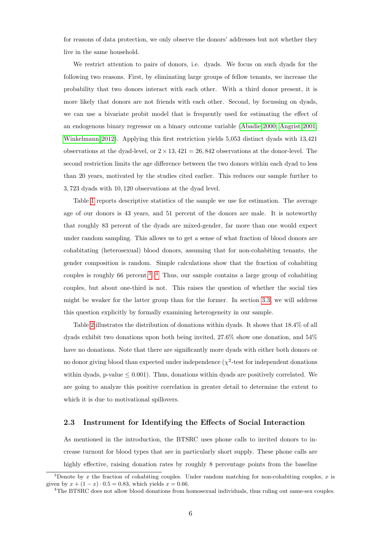for reasons of data protection, we only observe the donors' addresses but not whether they live in the same household.

We restrict attention to pairs of donors, i.e. dyads. We focus on such dyads for the following two reasons. First, by eliminating large groups of fellow tenants, we increase the probability that two donors interact with each other. With a third donor present, it is more likely that donors are not friends with each other. Second, by focussing on dyads, we can use a bivariate probit model that is frequently used for estimating the effect of an endogenous binary regressor on a binary outcome variable [\(Abadie 2000;](#page-40-5) [Angrist 2001;](#page-40-6) [Winkelmann 2012\)](#page-44-1). Applying this first restriction yields 5,053 distinct dyads with 13,421 observations at the dyad-level, or  $2 \times 13$ ,  $421 = 26,842$  observations at the donor-level. The second restriction limits the age difference between the two donors within each dyad to less than 20 years, motivated by the studies cited earlier. This reduces our sample further to 3, 723 dyads with 10, 120 observations at the dyad level.

Table [1](#page-9-0) reports descriptive statistics of the sample we use for estimation. The average age of our donors is 43 years, and 51 percent of the donors are male. It is noteworthy that roughly 83 percent of the dyads are mixed-gender, far more than one would expect under random sampling. This allows us to get a sense of what fraction of blood donors are cohabitating (heterosexual) blood donors, assuming that for non-cohabiting tenants, the gender composition is random. Simple calculations show that the fraction of cohabiting couples is roughly 66 percent.<sup>3</sup> <sup>4</sup> Thus, our sample contains a large group of cohabiting couples, but about one-third is not. This raises the question of whether the social ties might be weaker for the latter group than for the former. In section [3.3,](#page-14-0) we will address this question explicitly by formally examining heterogeneity in our sample.

Table [2](#page-9-1) illustrates the distribution of donations within dyads. It shows that 18.4% of all dyads exhibit two donations upon both being invited, 27.6% show one donation, and 54% have no donations. Note that there are significantly more dyads with either both donors or no donor giving blood than expected under independence ( $\chi^2$ -test for independent donations within dyads, p-value  $\leq 0.001$ . Thus, donations within dyads are positively correlated. We are going to analyze this positive correlation in greater detail to determine the extent to which it is due to motivational spillovers.

#### <span id="page-8-0"></span>2.3 Instrument for Identifying the Effects of Social Interaction

As mentioned in the introduction, the BTSRC uses phone calls to invited donors to increase turnout for blood types that are in particularly short supply. These phone calls are highly effective, raising donation rates by roughly 8 percentage points from the baseline

<sup>&</sup>lt;sup>3</sup>Denote by x the fraction of cohabiting couples. Under random matching for non-cohabiting couples, x is given by  $x + (1 - x) \cdot 0.5 = 0.83$ , which yields  $x = 0.66$ .

<sup>&</sup>lt;sup>4</sup>The BTSRC does not allow blood donations from homosexual individuals, thus ruling out same-sex couples.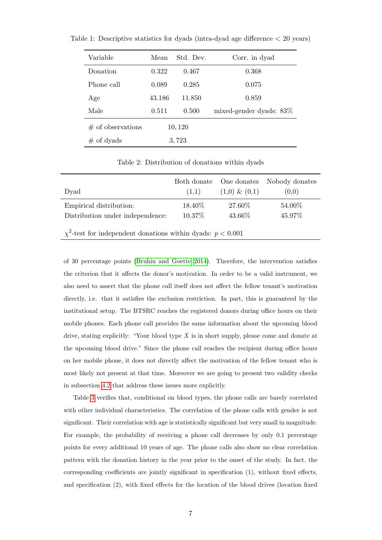| Variable            | Mean   | Std. Dev. | Corr. in dyad              |
|---------------------|--------|-----------|----------------------------|
| Donation            | 0.322  | 0.467     | 0.368                      |
| Phone call          | 0.089  | 0.285     | 0.075                      |
| Age                 | 43.186 | 11.850    | 0.859                      |
| Male                | 0.511  | 0.500     | mixed-gender dyads: $83\%$ |
| $#$ of observations |        | 10, 120   |                            |
| $\#$ of dyads       | 3,723  |           |                            |

<span id="page-9-0"></span>Table 1: Descriptive statistics for dyads (intra-dyad age difference < 20 years)

Table 2: Distribution of donations within dyads

<span id="page-9-1"></span>

|                                                                    |         |                  | Both donate One donates Nobody donates |  |  |  |
|--------------------------------------------------------------------|---------|------------------|----------------------------------------|--|--|--|
| Dyad                                                               | (1.1)   | $(1,0) \& (0,1)$ | (0,0)                                  |  |  |  |
| Empirical distribution:                                            | 18.40\% | 27.60%           | 54.00%                                 |  |  |  |
| Distribution under independence:                                   | 10.37%  | 43.66%           | 45.97%                                 |  |  |  |
| $\chi^2$ -test for independent donations within dyads: $p < 0.001$ |         |                  |                                        |  |  |  |

of 30 percentage points [\(Bruhin and Goette 2014\)](#page-40-3). Therefore, the intervention satisfies the criterion that it affects the donor's motivation. In order to be a valid instrument, we also need to assert that the phone call itself does not affect the fellow tenant's motivation directly, i.e. that it satisfies the exclusion restriction. In part, this is guaranteed by the institutional setup. The BTSRC reaches the registered donors during office hours on their mobile phones. Each phone call provides the same information about the upcoming blood drive, stating explicitly: "Your blood type X is in short supply, please come and donate at the upcoming blood drive." Since the phone call reaches the recipient during office hours on her mobile phone, it does not directly affect the motivation of the fellow tenant who is most likely not present at that time. Moreover we are going to present two validity checks in subsection [4.2](#page-20-0) that address these issues more explicitly.

Table [3](#page-10-0) verifies that, conditional on blood types, the phone calls are barely correlated with other individual characteristics. The correlation of the phone calls with gender is not significant. Their correlation with age is statistically significant but very small in magnitude. For example, the probability of receiving a phone call decreases by only 0.1 percentage points for every additional 10 years of age. The phone calls also show no clear correlation pattern with the donation history in the year prior to the onset of the study. In fact, the corresponding coefficients are jointly significant in specification (1), without fixed effects, and specification (2), with fixed effects for the location of the blood drives (location fixed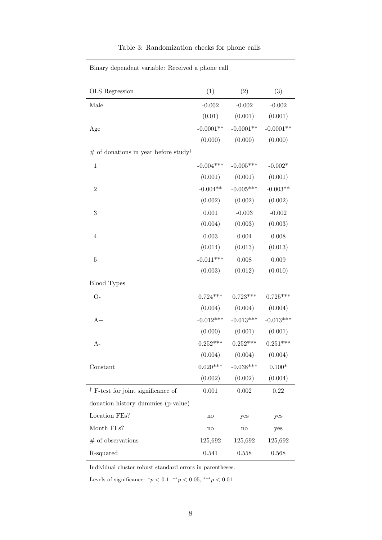| <b>OLS</b> Regression                              | (1)           | (2)                 | (3)            |
|----------------------------------------------------|---------------|---------------------|----------------|
| Male                                               | $-0.002$      | $-0.002$            | $-0.002$       |
|                                                    | (0.01)        | (0.001)             | (0.001)        |
| Age                                                | $-0.0001**$   | $-0.0001**$         | $-0.0001**$    |
|                                                    | (0.000)       | (0.000)             | (0.000)        |
| $#$ of donations in year before study <sup>†</sup> |               |                     |                |
| $\mathbf 1$                                        | $-0.004***$   | $-0.005***$         | $-0.002*$      |
|                                                    | (0.001)       | (0.001)             | (0.001)        |
| $\overline{2}$                                     | $-0.004**$    | $-0.005***$         | $-0.003**$     |
|                                                    | (0.002)       | (0.002)             | (0.002)        |
| $\overline{3}$                                     | 0.001         | $-0.003$            | $-0.002$       |
|                                                    | (0.004)       | (0.003)             | (0.003)        |
| $\overline{4}$                                     | $0.003\,$     | 0.004               | 0.008          |
|                                                    | (0.014)       | (0.013)             | (0.013)        |
| $\overline{5}$                                     | $-0.011***$   | 0.008               | 0.009          |
|                                                    | (0.003)       | (0.012)             | (0.010)        |
| <b>Blood Types</b>                                 |               |                     |                |
| $O-$                                               | $0.724***$    | $0.723***$          | $0.725***$     |
|                                                    | (0.004)       | (0.004)             | (0.004)        |
| $A+$                                               | $-0.012***$   | $-0.013***$         | $-0.013***$    |
|                                                    | (0.000)       | (0.001)             | (0.001)        |
| A-                                                 | $0.252***$    | $0.252***$          | $0.251***$     |
|                                                    |               | $(0.004)$ $(0.004)$ | (0.004)        |
| Constant                                           | $0.020***$    | $-0.038***$         | $0.100^{\ast}$ |
|                                                    | (0.002)       | (0.002)             | (0.004)        |
| $\dagger$ F-test for joint significance of         | 0.001         | 0.002               | 0.22           |
| donation history dummies (p-value)                 |               |                     |                |
| Location FEs?                                      | $\mathbf{no}$ | yes                 | yes            |
| Month FEs?                                         | $\mathbf{no}$ | $\operatorname{no}$ | yes            |
| $#$ of observations                                | 125,692       | 125,692             | 125,692        |
| R-squared                                          | 0.541         | 0.558               | 0.568          |

#### Table 3: Randomization checks for phone calls

<span id="page-10-0"></span>Binary dependent variable: Received a phone call

Individual cluster robust standard errors in parentheses.

Levels of significance:  $^*p < 0.1, ^{**}p < 0.05, ^{***}p < 0.01$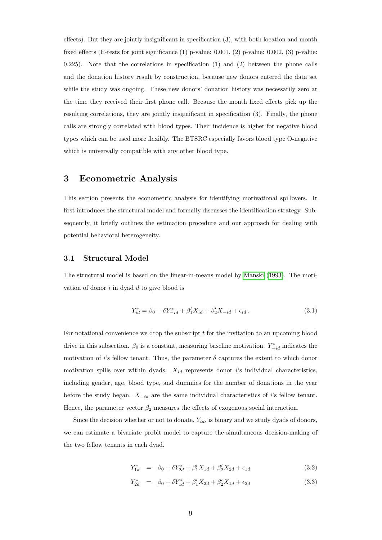effects). But they are jointly insignificant in specification (3), with both location and month fixed effects (F-tests for joint significance  $(1)$  p-value: 0.001,  $(2)$  p-value: 0.002,  $(3)$  p-value: 0.225). Note that the correlations in specification  $(1)$  and  $(2)$  between the phone calls and the donation history result by construction, because new donors entered the data set while the study was ongoing. These new donors' donation history was necessarily zero at the time they received their first phone call. Because the month fixed effects pick up the resulting correlations, they are jointly insignificant in specification (3). Finally, the phone calls are strongly correlated with blood types. Their incidence is higher for negative blood types which can be used more flexibly. The BTSRC especially favors blood type O-negative which is universally compatible with any other blood type.

### 3 Econometric Analysis

This section presents the econometric analysis for identifying motivational spillovers. It first introduces the structural model and formally discusses the identification strategy. Subsequently, it briefly outlines the estimation procedure and our approach for dealing with potential behavioral heterogeneity.

#### 3.1 Structural Model

The structural model is based on the linear-in-means model by [Manski](#page-43-8) [\(1993\)](#page-43-8). The motivation of donor  $i$  in dyad  $d$  to give blood is

$$
Y_{id}^* = \beta_0 + \delta Y_{-id}^* + \beta_1' X_{id} + \beta_2' X_{-id} + \epsilon_{id}.
$$
\n(3.1)

For notational convenience we drop the subscript  $t$  for the invitation to an upcoming blood drive in this subsection.  $\beta_0$  is a constant, measuring baseline motivation.  $Y_{-id}^*$  indicates the motivation of i's fellow tenant. Thus, the parameter  $\delta$  captures the extent to which donor motivation spills over within dyads.  $X_{id}$  represents donor i's individual characteristics, including gender, age, blood type, and dummies for the number of donations in the year before the study began.  $X_{-id}$  are the same individual characteristics of i's fellow tenant. Hence, the parameter vector  $\beta_2$  measures the effects of exogenous social interaction.

Since the decision whether or not to donate,  $Y_{id}$ , is binary and we study dyads of donors, we can estimate a bivariate probit model to capture the simultaneous decision-making of the two fellow tenants in each dyad.

<span id="page-11-0"></span>
$$
Y_{1d}^* = \beta_0 + \delta Y_{2d}^* + \beta_1' X_{1d} + \beta_2' X_{2d} + \epsilon_{1d} \tag{3.2}
$$

$$
Y_{2d}^* = \beta_0 + \delta Y_{1d}^* + \beta_1' X_{2d} + \beta_2' X_{1d} + \epsilon_{2d}
$$
 (3.3)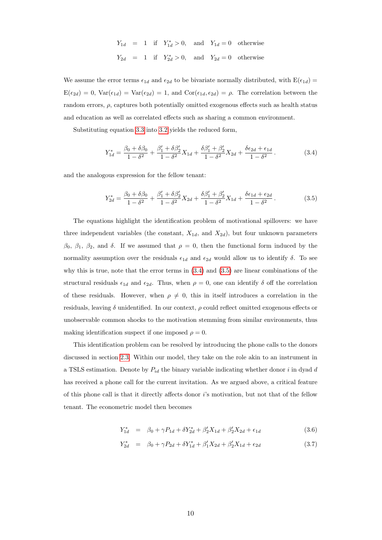$$
Y_{1d} = 1 \text{ if } Y_{1d}^* > 0, \text{ and } Y_{1d} = 0 \text{ otherwise}
$$
  

$$
Y_{2d} = 1 \text{ if } Y_{2d}^* > 0, \text{ and } Y_{2d} = 0 \text{ otherwise}
$$

We assume the error terms  $\epsilon_{1d}$  and  $\epsilon_{2d}$  to be bivariate normally distributed, with  $E(\epsilon_{1d}) =$  $E(\epsilon_{2d}) = 0$ ,  $Var(\epsilon_{1d}) = Var(\epsilon_{2d}) = 1$ , and  $Cor(\epsilon_{1d}, \epsilon_{2d}) = \rho$ . The correlation between the random errors,  $\rho$ , captures both potentially omitted exogenous effects such as health status and education as well as correlated effects such as sharing a common environment.

Substituting equation [3.3](#page-11-0) into [3.2](#page-11-0) yields the reduced form,

<span id="page-12-0"></span>
$$
Y_{1d}^* = \frac{\beta_0 + \delta\beta_0}{1 - \delta^2} + \frac{\beta_1' + \delta\beta_2'}{1 - \delta^2} X_{1d} + \frac{\delta\beta_1' + \beta_2'}{1 - \delta^2} X_{2d} + \frac{\delta\epsilon_{2d} + \epsilon_{1d}}{1 - \delta^2}.
$$
 (3.4)

and the analogous expression for the fellow tenant:

<span id="page-12-1"></span>
$$
Y_{2d}^* = \frac{\beta_0 + \delta\beta_0}{1 - \delta^2} + \frac{\beta_1' + \delta\beta_2'}{1 - \delta^2} X_{2d} + \frac{\delta\beta_1' + \beta_2'}{1 - \delta^2} X_{1d} + \frac{\delta\epsilon_{1d} + \epsilon_{2d}}{1 - \delta^2}.
$$
 (3.5)

The equations highlight the identification problem of motivational spillovers: we have three independent variables (the constant,  $X_{1d}$ , and  $X_{2d}$ ), but four unknown parameters  $\beta_0$ ,  $\beta_1$ ,  $\beta_2$ , and  $\delta$ . If we assumed that  $\rho = 0$ , then the functional form induced by the normality assumption over the residuals  $\epsilon_{1d}$  and  $\epsilon_{2d}$  would allow us to identify  $\delta$ . To see why this is true, note that the error terms in  $(3.4)$  and  $(3.5)$  are linear combinations of the structural residuals  $\epsilon_{1d}$  and  $\epsilon_{2d}$ . Thus, when  $\rho = 0$ , one can identify  $\delta$  off the correlation of these residuals. However, when  $\rho \neq 0$ , this in itself introduces a correlation in the residuals, leaving  $\delta$  unidentified. In our context,  $\rho$  could reflect omitted exogenous effects or unobservable common shocks to the motivation stemming from similar environments, thus making identification suspect if one imposed  $\rho = 0$ .

This identification problem can be resolved by introducing the phone calls to the donors discussed in section [2.3.](#page-8-0) Within our model, they take on the role akin to an instrument in a TSLS estimation. Denote by  $P_{id}$  the binary variable indicating whether donor i in dyad d has received a phone call for the current invitation. As we argued above, a critical feature of this phone call is that it directly affects donor  $i$ 's motivation, but not that of the fellow tenant. The econometric model then becomes

<span id="page-12-2"></span>
$$
Y_{1d}^* = \beta_0 + \gamma P_{1d} + \delta Y_{2d}^* + \beta_2' X_{1d} + \beta_2' X_{2d} + \epsilon_{1d} \tag{3.6}
$$

$$
Y_{2d}^* = \beta_0 + \gamma P_{2d} + \delta Y_{1d}^* + \beta_1' X_{2d} + \beta_2' X_{1d} + \epsilon_{2d} \tag{3.7}
$$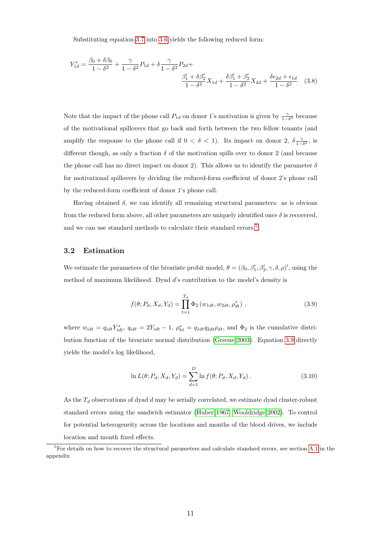<span id="page-13-1"></span>Substituting equation [3.7](#page-12-2) into [3.6](#page-12-2) yields the following reduced form:

$$
Y_{1d}^{*} = \frac{\beta_{0} + \delta\beta_{0}}{1 - \delta^{2}} + \frac{\gamma}{1 - \delta^{2}} P_{1d} + \delta \frac{\gamma}{1 - \delta^{2}} P_{2d} + \frac{\beta_{1}' + \delta\beta_{2}'}{1 - \delta^{2}} X_{1d} + \frac{\delta\beta_{1}' + \beta_{2}'}{1 - \delta^{2}} X_{2d} + \frac{\delta\epsilon_{2d} + \epsilon_{1d}}{1 - \delta^{2}} \quad (3.8)
$$

Note that the impact of the phone call  $P_{1d}$  on donor 1's motivation is given by  $\frac{\gamma}{1-\delta^2}$  because of the motivational spillovers that go back and forth between the two fellow tenants (and amplify the response to the phone call if  $0 < \delta < 1$ ). Its impact on donor 2,  $\delta \frac{\gamma}{1-\delta^2}$ , is different though, as only a fraction  $\delta$  of the motivation spills over to donor 2 (and because the phone call has no direct impact on donor 2). This allows us to identify the parameter  $\delta$ for motivational spillovers by dividing the reduced-form coefficient of donor 2's phone call by the reduced-form coefficient of donor 1's phone call.

Having obtained  $\delta$ , we can identify all remaining structural parameters: as is obvious from the reduced form above, all other parameters are uniquely identified once  $\delta$  is recovered. and we can use standard methods to calculate their standard errors.<sup>[5](#page--1-0)</sup>

#### 3.2 Estimation

We estimate the parameters of the bivariate probit model,  $\theta = (\beta_0, \beta'_1, \beta'_2, \gamma, \delta, \rho)'$ , using the method of maximum likelihood. Dyad d's contribution to the model's density is

<span id="page-13-0"></span>
$$
f(\theta; P_d, X_d, Y_d) = \prod_{t=1}^{T_d} \Phi_2(w_{1dt}, w_{2dt}, \rho_{dt}^*) ,
$$
 (3.9)

where  $w_{idt} = q_{idt} Y_{idt}^*$ ,  $q_{idt} = 2Y_{idt} - 1$ ,  $\rho_{ht}^* = q_{1dt} q_{2dt} \rho_{dt}$ , and  $\Phi_2$  is the cumulative distribution function of the bivariate normal distribution [\(Greene 2003\)](#page-41-8). Equation [3.9](#page-13-0) directly yields the model's log likelihood,

$$
\ln L(\theta; P_d, X_d, Y_d) = \sum_{d=1}^{D} \ln f(\theta; P_d, X_d, Y_d).
$$
 (3.10)

As the  $T_d$  observations of dyad  $d$  may be serially correlated, we estimate dyad cluster-robust standard errors using the sandwich estimator [\(Huber 1967;](#page-42-8) [Wooldridge 2002\)](#page-44-2). To control for potential heterogeneity across the locations and months of the blood drives, we include location and month fixed effects.

 ${}^{5}$ For details on how to recover the structural parameters and calculate standard errors, see section [A.1](#page-32-0) in the appendix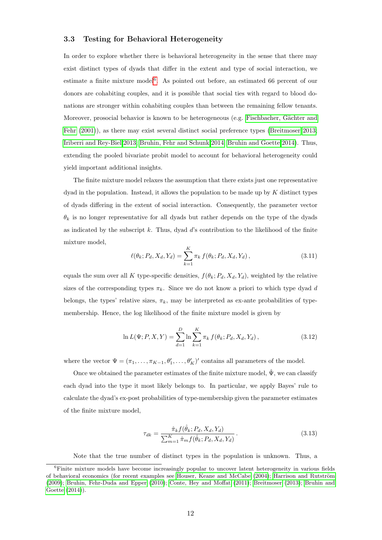#### <span id="page-14-0"></span>3.3 Testing for Behavioral Heterogeneity

In order to explore whether there is behavioral heterogeneity in the sense that there may exist distinct types of dyads that differ in the extent and type of social interaction, we estimate a finite mixture model<sup>[6](#page--1-0)</sup>. As pointed out before, an estimated 66 percent of our donors are cohabiting couples, and it is possible that social ties with regard to blood donations are stronger within cohabiting couples than between the remaining fellow tenants. Moreover, prosocial behavior is known to be heterogeneous (e.g. Fischbacher, Gächter and [Fehr](#page-41-9) [\(2001\)](#page-41-9)), as there may exist several distinct social preference types [\(Breitmoser 2013;](#page-40-7) [Iriberri and Rey-Biel 2013;](#page-42-9) [Bruhin, Fehr and Schunk 2014;](#page-40-8) [Bruhin and Goette 2014\)](#page-40-3). Thus, extending the pooled bivariate probit model to account for behavioral heterogeneity could yield important additional insights.

The finite mixture model relaxes the assumption that there exists just one representative  $dyad$  in the population. Instead, it allows the population to be made up by K distinct types of dyads differing in the extent of social interaction. Consequently, the parameter vector  $\theta_k$  is no longer representative for all dyads but rather depends on the type of the dyads as indicated by the subscript  $k$ . Thus, dyad  $d$ 's contribution to the likelihood of the finite mixture model,

$$
\ell(\theta_k; P_d, X_d, Y_d) = \sum_{k=1}^{K} \pi_k f(\theta_k; P_d, X_d, Y_d), \qquad (3.11)
$$

equals the sum over all K type-specific densities,  $f(\theta_k; P_d, X_d, Y_d)$ , weighted by the relative sizes of the corresponding types  $\pi_k$ . Since we do not know a priori to which type dyad d belongs, the types' relative sizes,  $\pi_k$ , may be interpreted as ex-ante probabilities of typemembership. Hence, the log likelihood of the finite mixture model is given by

<span id="page-14-1"></span>
$$
\ln L(\Psi; P, X, Y) = \sum_{d=1}^{D} \ln \sum_{k=1}^{K} \pi_k f(\theta_k; P_d, X_d, Y_d), \qquad (3.12)
$$

where the vector  $\Psi = (\pi_1, \ldots, \pi_{K-1}, \theta'_1, \ldots, \theta'_K)'$  contains all parameters of the model.

Once we obtained the parameter estimates of the finite mixture model,  $\hat{\Psi}$ , we can classify each dyad into the type it most likely belongs to. In particular, we apply Bayes' rule to calculate the dyad's ex-post probabilities of type-membership given the parameter estimates of the finite mixture model,

$$
\tau_{dk} = \frac{\hat{\pi}_k f(\hat{\theta}_k; P_d, X_d, Y_d)}{\sum_{m=1}^K \hat{\pi}_m f(\hat{\theta}_k; P_d, X_d, Y_d)}.
$$
\n(3.13)

Note that the true number of distinct types in the population is unknown. Thus, a

<sup>&</sup>lt;sup>6</sup>Finite mixture models have become increasingly popular to uncover latent heterogeneity in various fields of behavioral economics (for recent examples see [Houser, Keane and McCabe](#page-41-10) [\(2004\)](#page-41-10); Harrison and Rutström [\(2009\)](#page-41-11); [Bruhin, Fehr-Duda and Epper](#page-40-9) [\(2010\)](#page-40-9); [Conte, Hey and Moffat](#page-41-12) [\(2011\)](#page-41-12); [Breitmoser](#page-40-7) [\(2013\)](#page-40-7); [Bruhin and](#page-40-3) [Goette](#page-40-3) [\(2014\)](#page-40-3)).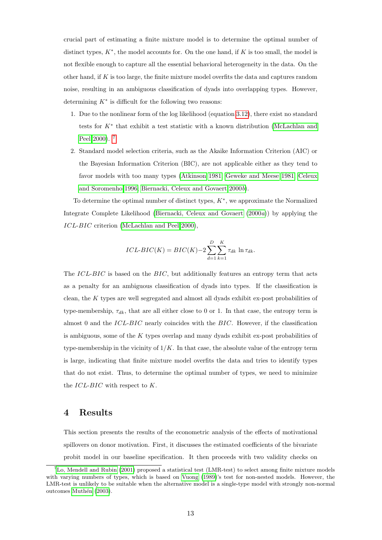crucial part of estimating a finite mixture model is to determine the optimal number of distinct types,  $K^*$ , the model accounts for. On the one hand, if K is too small, the model is not flexible enough to capture all the essential behavioral heterogeneity in the data. On the other hand, if  $K$  is too large, the finite mixture model overfits the data and captures random noise, resulting in an ambiguous classification of dyads into overlapping types. However, determining  $K^*$  is difficult for the following two reasons:

- 1. Due to the nonlinear form of the log likelihood (equation [3.12\)](#page-14-1), there exist no standard tests for K<sup>∗</sup> that exhibit a test statistic with a known distribution [\(McLachlan and](#page-43-10) [Peel 2000\)](#page-43-10). [7](#page--1-0)
- 2. Standard model selection criteria, such as the Akaike Information Criterion (AIC) or the Bayesian Information Criterion (BIC), are not applicable either as they tend to favor models with too many types [\(Atkinson 1981;](#page-40-10) [Geweke and Meese 1981;](#page-41-13) [Celeux](#page-41-14) [and Soromenho 1996;](#page-41-14) [Biernacki, Celeux and Govaert 2000](#page-40-11)b).

To determine the optimal number of distinct types,  $K^*$ , we approximate the Normalized Integrate Complete Likelihood [\(Biernacki, Celeux and Govaert](#page-40-12) [\(2000](#page-40-12)a)) by applying the ICL-BIC criterion [\(McLachlan and Peel 2000\)](#page-43-10),

$$
ICL\text{-}BIC(K) = BIC(K) - 2\sum_{d=1}^{D} \sum_{k=1}^{K} \tau_{dk} \ln \tau_{dk}.
$$

The  $ICL-BIC$  is based on the  $BIC$ , but additionally features an entropy term that acts as a penalty for an ambiguous classification of dyads into types. If the classification is clean, the K types are well segregated and almost all dyads exhibit ex-post probabilities of type-membership,  $\tau_{dk}$ , that are all either close to 0 or 1. In that case, the entropy term is almost 0 and the ICL-BIC nearly coincides with the BIC. However, if the classification is ambiguous, some of the  $K$  types overlap and many dyads exhibit ex-post probabilities of type-membership in the vicinity of  $1/K$ . In that case, the absolute value of the entropy term is large, indicating that finite mixture model overfits the data and tries to identify types that do not exist. Thus, to determine the optimal number of types, we need to minimize the  $ICL-BIC$  with respect to K.

### <span id="page-15-0"></span>4 Results

This section presents the results of the econometric analysis of the effects of motivational spillovers on donor motivation. First, it discusses the estimated coefficients of the bivariate probit model in our baseline specification. It then proceeds with two validity checks on

 ${}^{7}$ [Lo, Mendell and Rubin](#page-43-11) [\(2001\)](#page-43-11) proposed a statistical test (LMR-test) to select among finite mixture models with varying numbers of types, which is based on [Vuong](#page-44-3) [\(1989\)](#page-44-3)'s test for non-nested models. However, the LMR-test is unlikely to be suitable when the alternative model is a single-type model with strongly non-normal outcomes Muthén [\(2003\)](#page-43-12).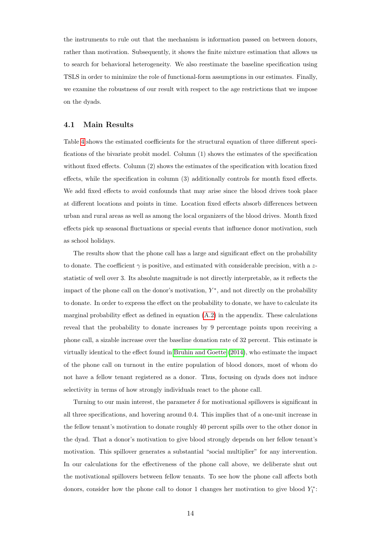the instruments to rule out that the mechanism is information passed on between donors, rather than motivation. Subsequently, it shows the finite mixture estimation that allows us to search for behavioral heterogeneity. We also reestimate the baseline specification using TSLS in order to minimize the role of functional-form assumptions in our estimates. Finally, we examine the robustness of our result with respect to the age restrictions that we impose on the dyads.

#### 4.1 Main Results

Table [4](#page-18-0) shows the estimated coefficients for the structural equation of three different specifications of the bivariate probit model. Column (1) shows the estimates of the specification without fixed effects. Column (2) shows the estimates of the specification with location fixed effects, while the specification in column (3) additionally controls for month fixed effects. We add fixed effects to avoid confounds that may arise since the blood drives took place at different locations and points in time. Location fixed effects absorb differences between urban and rural areas as well as among the local organizers of the blood drives. Month fixed effects pick up seasonal fluctuations or special events that influence donor motivation, such as school holidays.

The results show that the phone call has a large and significant effect on the probability to donate. The coefficient  $\gamma$  is positive, and estimated with considerable precision, with a zstatistic of well over 3. Its absolute magnitude is not directly interpretable, as it reflects the impact of the phone call on the donor's motivation,  $Y^*$ , and not directly on the probability to donate. In order to express the effect on the probability to donate, we have to calculate its marginal probability effect as defined in equation  $(A.2)$  in the appendix. These calculations reveal that the probability to donate increases by 9 percentage points upon receiving a phone call, a sizable increase over the baseline donation rate of 32 percent. This estimate is virtually identical to the effect found in [Bruhin and Goette](#page-40-3) [\(2014\)](#page-40-3), who estimate the impact of the phone call on turnout in the entire population of blood donors, most of whom do not have a fellow tenant registered as a donor. Thus, focusing on dyads does not induce selectivity in terms of how strongly individuals react to the phone call.

Turning to our main interest, the parameter  $\delta$  for motivational spillovers is significant in all three specifications, and hovering around 0.4. This implies that of a one-unit increase in the fellow tenant's motivation to donate roughly 40 percent spills over to the other donor in the dyad. That a donor's motivation to give blood strongly depends on her fellow tenant's motivation. This spillover generates a substantial "social multiplier" for any intervention. In our calculations for the effectiveness of the phone call above, we deliberate shut out the motivational spillovers between fellow tenants. To see how the phone call affects both donors, consider how the phone call to donor 1 changes her motivation to give blood  $Y_1^*$ :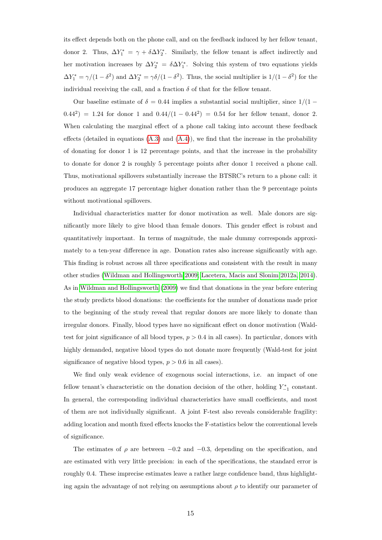its effect depends both on the phone call, and on the feedback induced by her fellow tenant, donor 2. Thus,  $\Delta Y_1^* = \gamma + \delta \Delta Y_2^*$ . Similarly, the fellow tenant is affect indirectly and her motivation increases by  $\Delta Y_2^* = \delta \Delta Y_1^*$ . Solving this system of two equations yields  $\Delta Y_1^* = \gamma/(1-\delta^2)$  and  $\Delta Y_2^* = \gamma \delta/(1-\delta^2)$ . Thus, the social multiplier is  $1/(1-\delta^2)$  for the individual receiving the call, and a fraction  $\delta$  of that for the fellow tenant.

Our baseline estimate of  $\delta = 0.44$  implies a substantial social multiplier, since  $1/(1 (0.44^2) = 1.24$  for donor 1 and  $(0.44/(1 - 0.44^2)) = 0.54$  for her fellow tenant, donor 2. When calculating the marginal effect of a phone call taking into account these feedback effects (detailed in equations  $(A.3)$  and  $(A.4)$ ), we find that the increase in the probability of donating for donor 1 is 12 percentage points, and that the increase in the probability to donate for donor 2 is roughly 5 percentage points after donor 1 received a phone call. Thus, motivational spillovers substantially increase the BTSRC's return to a phone call: it produces an aggregate 17 percentage higher donation rather than the 9 percentage points without motivational spillovers.

Individual characteristics matter for donor motivation as well. Male donors are significantly more likely to give blood than female donors. This gender effect is robust and quantitatively important. In terms of magnitude, the male dummy corresponds approximately to a ten-year difference in age. Donation rates also increase significantly with age. This finding is robust across all three specifications and consistent with the result in many other studies [\(Wildman and Hollingsworth 2009;](#page-44-4) [Lacetera, Macis and Slonim 2012a,](#page-42-10) [2014\)](#page-42-7). As in [Wildman and Hollingsworth](#page-44-4) [\(2009\)](#page-44-4) we find that donations in the year before entering the study predicts blood donations: the coefficients for the number of donations made prior to the beginning of the study reveal that regular donors are more likely to donate than irregular donors. Finally, blood types have no significant effect on donor motivation (Waldtest for joint significance of all blood types,  $p > 0.4$  in all cases). In particular, donors with highly demanded, negative blood types do not donate more frequently (Wald-test for joint significance of negative blood types,  $p > 0.6$  in all cases).

We find only weak evidence of exogenous social interactions, i.e. an impact of one fellow tenant's characteristic on the donation decision of the other, holding  $Y_{-1}^*$  constant. In general, the corresponding individual characteristics have small coefficients, and most of them are not individually significant. A joint F-test also reveals considerable fragility: adding location and month fixed effects knocks the F-statistics below the conventional levels of significance.

The estimates of  $\rho$  are between −0.2 and −0.3, depending on the specification, and are estimated with very little precision: in each of the specifications, the standard error is roughly 0.4. These imprecise estimates leave a rather large confidence band, thus highlighting again the advantage of not relying on assumptions about  $\rho$  to identify our parameter of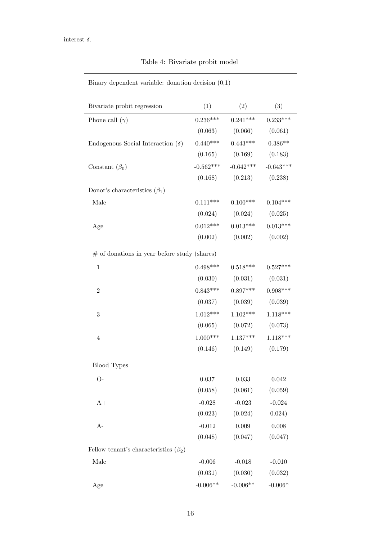|  | Table 4: Bivariate probit model |  |  |
|--|---------------------------------|--|--|
|--|---------------------------------|--|--|

<span id="page-18-0"></span>Binary dependent variable: donation decision (0,1)

| Bivariate probit regression                  | (1)        | (2)                              | (3)         |
|----------------------------------------------|------------|----------------------------------|-------------|
| Phone call $(\gamma)$                        |            | $0.236***$ $0.241***$ $0.233***$ |             |
|                                              |            | $(0.063)$ $(0.066)$ $(0.061)$    |             |
| Endogenous Social Interaction $(\delta)$     |            | $0.440***$ $0.443***$ $0.386**$  |             |
|                                              |            | $(0.165)$ $(0.169)$ $(0.183)$    |             |
| Constant $(\beta_0)$                         |            | $-0.562***$ $-0.642***$          | $-0.643***$ |
|                                              |            | $(0.168)$ $(0.213)$              | (0.238)     |
| Donor's characteristics $(\beta_1)$          |            |                                  |             |
| Male                                         |            | $0.111***$ $0.100***$            | $0.104***$  |
|                                              |            | $(0.024)$ $(0.024)$ $(0.025)$    |             |
| Age                                          |            | $0.012***$ $0.013***$ $0.013***$ |             |
|                                              |            | $(0.002)$ $(0.002)$ $(0.002)$    |             |
| # of donations in year before study (shares) |            |                                  |             |
| $\mathbf 1$                                  |            | $0.498***$ $0.518***$ $0.527***$ |             |
|                                              |            | $(0.030)$ $(0.031)$ $(0.031)$    |             |
| $\overline{2}$                               |            | $0.843***$ $0.897***$ $0.908***$ |             |
|                                              |            | $(0.037)$ $(0.039)$ $(0.039)$    |             |
| 3                                            |            | $1.012***$ $1.102***$            | $1.118***$  |
|                                              |            | $(0.065)$ $(0.072)$ $(0.073)$    |             |
| $\overline{4}$                               |            | $1.000***$ $1.137***$            | $1.118***$  |
|                                              |            | $(0.146)$ $(0.149)$ $(0.179)$    |             |
| <b>Blood Types</b>                           |            |                                  |             |
| $O-$                                         | 0.037      | 0.033                            | 0.042       |
|                                              | (0.058)    | (0.061)                          | (0.059)     |
| $A+$                                         | $-0.028$   | $-0.023$                         | $-0.024$    |
|                                              | (0.023)    | (0.024)                          | 0.024)      |
| $A-$                                         | $-0.012$   | 0.009                            | 0.008       |
|                                              | (0.048)    | (0.047)                          | (0.047)     |
| Fellow tenant's characteristics $(\beta_2)$  |            |                                  |             |
| Male                                         | $-0.006$   | $-0.018$                         | $-0.010$    |
|                                              | (0.031)    | (0.030)                          | (0.032)     |
| Age                                          | $-0.006**$ | $-0.006**$                       | $-0.006*$   |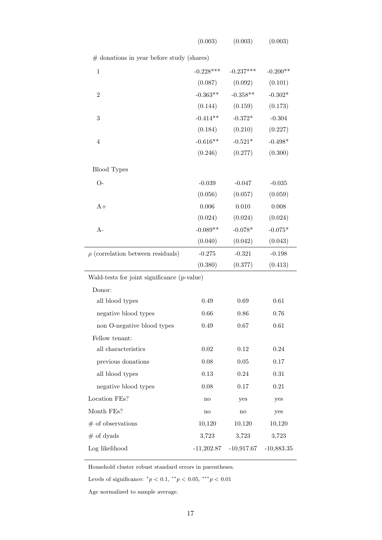| (0.003) | (0.003) | (0.003) |  |
|---------|---------|---------|--|
|---------|---------|---------|--|

 $\#$  donations in year before study (shares)

| $\mathbf{1}$                                | $-0.228***$  | $-0.237***$  | $-0.200**$   |
|---------------------------------------------|--------------|--------------|--------------|
|                                             | (0.087)      | (0.092)      | (0.101)      |
| $\overline{2}$                              | $-0.363**$   | $-0.358**$   | $-0.302*$    |
|                                             | (0.144)      | (0.159)      | (0.173)      |
| 3                                           | $-0.414**$   | $-0.372*$    | $-0.304$     |
|                                             | (0.184)      | (0.210)      | (0.227)      |
| $\overline{4}$                              | $-0.616**$   | $-0.521*$    | $-0.498*$    |
|                                             | (0.246)      | (0.277)      | (0.300)      |
| <b>Blood</b> Types                          |              |              |              |
| $O-$                                        | $-0.039$     | $-0.047$     | $-0.035$     |
|                                             | (0.056)      | (0.057)      | (0.059)      |
| $A+$                                        | 0.006        | 0.010        | 0.008        |
|                                             | (0.024)      | (0.024)      | (0.024)      |
| $A-$                                        | $-0.089**$   | $-0.078*$    | $-0.075*$    |
|                                             | (0.040)      | (0.042)      | (0.043)      |
| $\rho$ (correlation between residuals)      | $-0.275$     | $-0.321$     | $-0.198$     |
|                                             | (0.380)      | (0.377)      | (0.413)      |
| Wald-tests for joint significance (p-value) |              |              |              |
| Donor:                                      |              |              |              |
| all blood types                             | 0.49         | 0.69         | 0.61         |
| negative blood types                        | 0.66         | 0.86         | 0.76         |
| non O-negative blood types                  | 0.49         | 0.67         | $0.61\,$     |
| Fellow tenant:                              |              |              |              |
| all characteristics                         | 0.02         | 0.12         | 0.24         |
| previous donations                          | $0.08\,$     | $0.05\,$     | 0.17         |
| all blood types                             | 0.13         | 0.24         | 0.31         |
| negative blood types                        | 0.08         | 0.17         | 0.21         |
| Location FEs?                               | no           | yes          | yes          |
| Month FEs?                                  | no           | no           | yes          |
| $#$ of observations                         | 10,120       | 10,120       | 10,120       |
| $#$ of dyads                                | 3,723        | 3,723        | 3,723        |
| Log likelihood                              | $-11,202.87$ | $-10,917.67$ | $-10,883.35$ |
|                                             |              |              |              |

Household cluster robust standard errors in parentheses.

Levels of significance:  $^*p < 0.1, \, ^{**}p < 0.05, \, ^{***}p < 0.01$ 

Age normalized to sample average.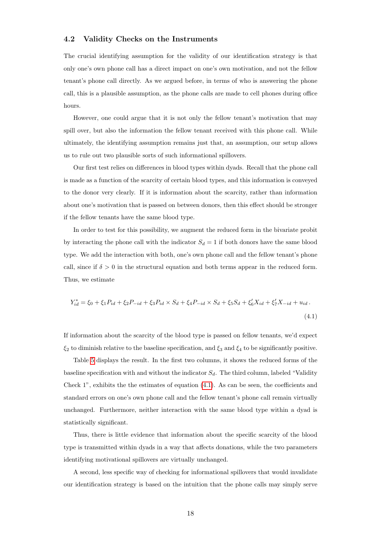#### <span id="page-20-0"></span>4.2 Validity Checks on the Instruments

The crucial identifying assumption for the validity of our identification strategy is that only one's own phone call has a direct impact on one's own motivation, and not the fellow tenant's phone call directly. As we argued before, in terms of who is answering the phone call, this is a plausible assumption, as the phone calls are made to cell phones during office hours.

However, one could argue that it is not only the fellow tenant's motivation that may spill over, but also the information the fellow tenant received with this phone call. While ultimately, the identifying assumption remains just that, an assumption, our setup allows us to rule out two plausible sorts of such informational spillovers.

Our first test relies on differences in blood types within dyads. Recall that the phone call is made as a function of the scarcity of certain blood types, and this information is conveyed to the donor very clearly. If it is information about the scarcity, rather than information about one's motivation that is passed on between donors, then this effect should be stronger if the fellow tenants have the same blood type.

In order to test for this possibility, we augment the reduced form in the bivariate probit by interacting the phone call with the indicator  $S_d = 1$  if both donors have the same blood type. We add the interaction with both, one's own phone call and the fellow tenant's phone call, since if  $\delta > 0$  in the structural equation and both terms appear in the reduced form. Thus, we estimate

<span id="page-20-1"></span>
$$
Y_{id}^* = \xi_0 + \xi_1 P_{id} + \xi_2 P_{-id} + \xi_3 P_{id} \times S_d + \xi_4 P_{-id} \times S_d + \xi_5 S_d + \xi'_6 X_{id} + \xi'_7 X_{-id} + u_{id}.
$$
\n(4.1)

If information about the scarcity of the blood type is passed on fellow tenants, we'd expect  $\xi_2$  to diminish relative to the baseline specification, and  $\xi_3$  and  $\xi_4$  to be significantly positive.

Table [5](#page-21-0) displays the result. In the first two columns, it shows the reduced forms of the baseline specification with and without the indicator  $S_d$ . The third column, labeled "Validity Check 1", exhibits the the estimates of equation [\(4.1\)](#page-20-1). As can be seen, the coefficients and standard errors on one's own phone call and the fellow tenant's phone call remain virtually unchanged. Furthermore, neither interaction with the same blood type within a dyad is statistically significant.

Thus, there is little evidence that information about the specific scarcity of the blood type is transmitted within dyads in a way that affects donations, while the two parameters identifying motivational spillovers are virtually unchanged.

A second, less specific way of checking for informational spillovers that would invalidate our identification strategy is based on the intuition that the phone calls may simply serve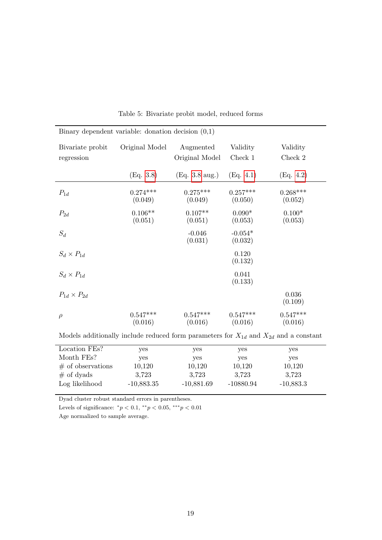<span id="page-21-0"></span>

| Binary dependent variable: donation decision $(0,1)$ |                       |                             |                       |                       |  |  |
|------------------------------------------------------|-----------------------|-----------------------------|-----------------------|-----------------------|--|--|
| Bivariate probit<br>regression                       | Original Model        | Augmented<br>Original Model | Validity<br>Check 1   | Validity<br>Check 2   |  |  |
|                                                      | (Eq. 3.8)             | $(Eq. 3.8 \text{ aug.})$    | (Eq. 4.1)             | (Eq. 4.2)             |  |  |
| $P_{1d}$                                             | $0.274***$<br>(0.049) | $0.275***$<br>(0.049)       | $0.257***$<br>(0.050) | $0.268***$<br>(0.052) |  |  |
| $P_{2d}$                                             | $0.106**$<br>(0.051)  | $0.107**$<br>(0.051)        | $0.090*$<br>(0.053)   | $0.100*$<br>(0.053)   |  |  |
| $S_d$                                                |                       | $-0.046$<br>(0.031)         | $-0.054*$<br>(0.032)  |                       |  |  |
| $S_d \times P_{1d}$                                  |                       |                             | 0.120<br>(0.132)      |                       |  |  |
| $S_d \times P_{1d}$                                  |                       |                             | 0.041<br>(0.133)      |                       |  |  |
| $P_{1d} \times P_{2d}$                               |                       |                             |                       | 0.036<br>(0.109)      |  |  |
| $\rho$                                               | $0.547***$<br>(0.016) | $0.547***$<br>(0.016)       | $0.547***$<br>(0.016) | $0.547***$<br>(0.016) |  |  |

Table 5: Bivariate probit model, reduced forms

Models additionally include reduced form parameters for  $\mathcal{X}_{1d}$  and  $\mathcal{X}_{2d}$  and a constant

| Location FEs?        | yes          | yes          | yes         | yes         |  |
|----------------------|--------------|--------------|-------------|-------------|--|
| Month FEs?           | yes          | yes          | yes         | yes         |  |
| $\#$ of observations | 10,120       | 10,120       | 10,120      | 10,120      |  |
| $\#$ of dyads        | 3.723        | 3.723        | 3.723       | 3,723       |  |
| Log likelihood       | $-10,883.35$ | $-10,881.69$ | $-10880.94$ | $-10,883.3$ |  |
|                      |              |              |             |             |  |

Dyad cluster robust standard errors in parentheses.

Levels of significance:  $^*p < 0.1, \, ^{**}p < 0.05, \, ^{***}p < 0.01$ 

Age normalized to sample average.

l,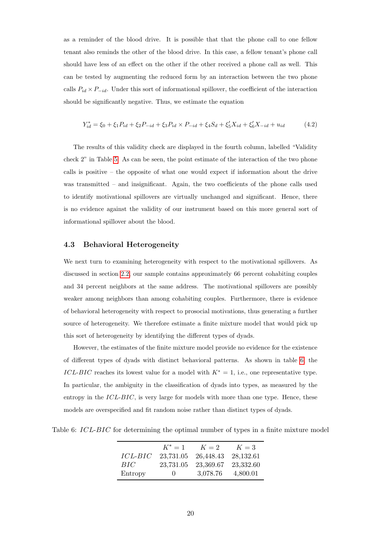as a reminder of the blood drive. It is possible that that the phone call to one fellow tenant also reminds the other of the blood drive. In this case, a fellow tenant's phone call should have less of an effect on the other if the other received a phone call as well. This can be tested by augmenting the reduced form by an interaction between the two phone calls  $P_{id} \times P_{-id}$ . Under this sort of informational spillover, the coefficient of the interaction should be significantly negative. Thus, we estimate the equation

<span id="page-22-0"></span>
$$
Y_{id}^* = \xi_0 + \xi_1 P_{id} + \xi_2 P_{-id} + \xi_3 P_{id} \times P_{-id} + \xi_4 S_d + \xi_5' X_{id} + \xi_6' X_{-id} + u_{id} \tag{4.2}
$$

The results of this validity check are displayed in the fourth column, labelled "Validity check 2" in Table [5.](#page-21-0) As can be seen, the point estimate of the interaction of the two phone calls is positive – the opposite of what one would expect if information about the drive was transmitted – and insignificant. Again, the two coefficients of the phone calls used to identify motivational spillovers are virtually unchanged and significant. Hence, there is no evidence against the validity of our instrument based on this more general sort of informational spillover about the blood.

#### 4.3 Behavioral Heterogeneity

We next turn to examining heterogeneity with respect to the motivational spillovers. As discussed in section [2.2,](#page-7-0) our sample contains approximately 66 percent cohabiting couples and 34 percent neighbors at the same address. The motivational spillovers are possibly weaker among neighbors than among cohabiting couples. Furthermore, there is evidence of behavioral heterogeneity with respect to prosocial motivations, thus generating a further source of heterogeneity. We therefore estimate a finite mixture model that would pick up this sort of heterogeneity by identifying the different types of dyads.

However, the estimates of the finite mixture model provide no evidence for the existence of different types of dyads with distinct behavioral patterns. As shown in table [6,](#page-22-1) the ICL-BIC reaches its lowest value for a model with  $K^* = 1$ , i.e., one representative type. In particular, the ambiguity in the classification of dyads into types, as measured by the entropy in the  $ICL-BIC$ , is very large for models with more than one type. Hence, these models are overspecified and fit random noise rather than distinct types of dyads.

<span id="page-22-1"></span>Table 6: ICL-BIC for determining the optimal number of types in a finite mixture model

|                | $K^* = 1$    | $K=2$     | $K=3$     |
|----------------|--------------|-----------|-----------|
| <i>ICL-BIC</i> | 23,731.05    | 26,448.43 | 28,132.61 |
| BIC            | 23,731.05    | 23,369.67 | 23,332.60 |
| Entropy        | $\mathbf{0}$ | 3,078.76  | 4,800.01  |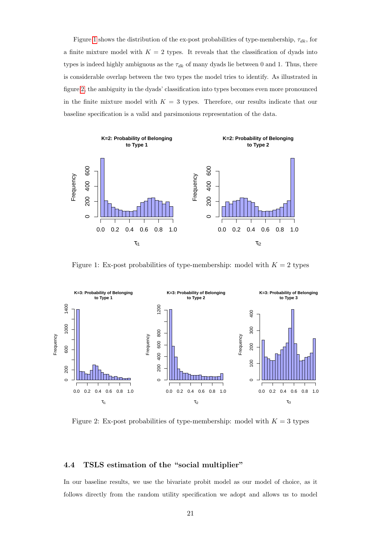Figure [1](#page-23-0) shows the distribution of the ex-post probabilities of type-membership,  $\tau_{dk}$ , for a finite mixture model with  $K = 2$  types. It reveals that the classification of dyads into types is indeed highly ambiguous as the  $\tau_{dk}$  of many dyads lie between 0 and 1. Thus, there is considerable overlap between the two types the model tries to identify. As illustrated in figure [2,](#page-23-1) the ambiguity in the dyads' classification into types becomes even more pronounced in the finite mixture model with  $K = 3$  types. Therefore, our results indicate that our baseline specification is a valid and parsimonious representation of the data.

<span id="page-23-0"></span>

Figure 1: Ex-post probabilities of type-membership: model with  $K = 2$  types

<span id="page-23-1"></span>

Figure 2: Ex-post probabilities of type-membership: model with  $K = 3$  types

#### 4.4 TSLS estimation of the "social multiplier"

In our baseline results, we use the bivariate probit model as our model of choice, as it follows directly from the random utility specification we adopt and allows us to model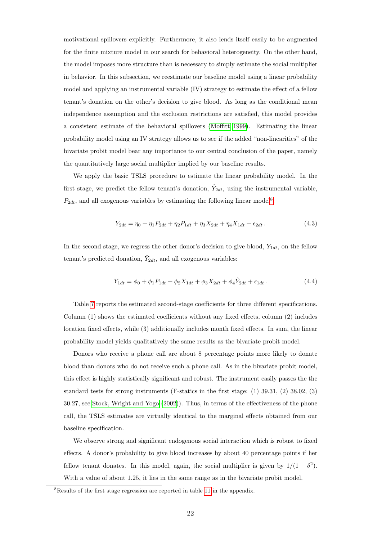motivational spillovers explicitly. Furthermore, it also lends itself easily to be augmented for the finite mixture model in our search for behavioral heterogeneity. On the other hand, the model imposes more structure than is necessary to simply estimate the social multiplier in behavior. In this subsection, we reestimate our baseline model using a linear probability model and applying an instrumental variable (IV) strategy to estimate the effect of a fellow tenant's donation on the other's decision to give blood. As long as the conditional mean independence assumption and the exclusion restrictions are satisfied, this model provides a consistent estimate of the behavioral spillovers [\(Moffitt 1999\)](#page-43-13). Estimating the linear probability model using an IV strategy allows us to see if the added "non-linearities" of the bivariate probit model bear any importance to our central conclusion of the paper, namely the quantitatively large social multiplier implied by our baseline results.

We apply the basic TSLS procedure to estimate the linear probability model. In the first stage, we predict the fellow tenant's donation,  $\hat{Y}_{2dt}$ , using the instrumental variable,  $P_{2dt}$ , and all exogenous variables by estimating the following linear model<sup>[8](#page--1-0)</sup>:

$$
Y_{2dt} = \eta_0 + \eta_1 P_{2dt} + \eta_2 P_{1dt} + \eta_3 X_{2dt} + \eta_4 X_{1dt} + \epsilon_{2dt}.
$$
\n(4.3)

In the second stage, we regress the other donor's decision to give blood,  $Y_{1dt}$ , on the fellow tenant's predicted donation,  $\hat{Y}_{2dt}$ , and all exogenous variables:

$$
Y_{1dt} = \phi_0 + \phi_1 P_{1dt} + \phi_2 X_{1dt} + \phi_3 X_{2dt} + \phi_4 \hat{Y}_{2dt} + \epsilon_{1dt}.
$$
\n(4.4)

Table [7](#page-25-0) reports the estimated second-stage coefficients for three different specifications. Column (1) shows the estimated coefficients without any fixed effects, column (2) includes location fixed effects, while (3) additionally includes month fixed effects. In sum, the linear probability model yields qualitatively the same results as the bivariate probit model.

Donors who receive a phone call are about 8 percentage points more likely to donate blood than donors who do not receive such a phone call. As in the bivariate probit model, this effect is highly statistically significant and robust. The instrument easily passes the the standard tests for strong instruments (F-statics in the first stage: (1) 39.31, (2) 38.02, (3) 30.27, see [Stock, Wright and Yogo](#page-43-14) [\(2002\)](#page-43-14)). Thus, in terms of the effectiveness of the phone call, the TSLS estimates are virtually identical to the marginal effects obtained from our baseline specification.

We observe strong and significant endogenous social interaction which is robust to fixed effects. A donor's probability to give blood increases by about 40 percentage points if her fellow tenant donates. In this model, again, the social multiplier is given by  $1/(1 - \delta^2)$ . With a value of about 1.25, it lies in the same range as in the bivariate probit model.

<sup>&</sup>lt;sup>8</sup>Results of the first stage regression are reported in table [11](#page-38-0) in the appendix.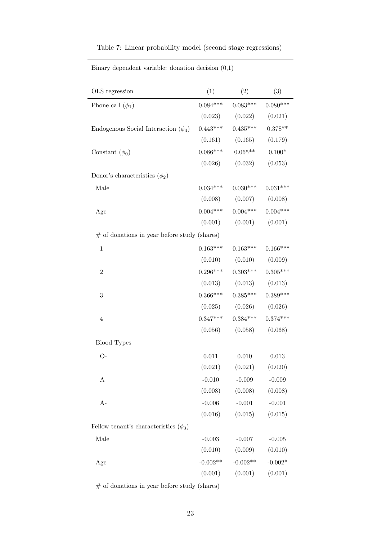<span id="page-25-0"></span>

|  |  |  | Table 7: Linear probability model (second stage regressions) |  |
|--|--|--|--------------------------------------------------------------|--|
|  |  |  |                                                              |  |

| OLS regression                                 | (1)        | (2)                              | (3)        |
|------------------------------------------------|------------|----------------------------------|------------|
| Phone call $(\phi_1)$                          | $0.084***$ | $0.083***$                       | $0.080***$ |
|                                                |            | $(0.023)$ $(0.022)$              | (0.021)    |
| Endogenous Social Interaction $(\phi_4)$       | $0.443***$ | $0.435***$                       | $0.378**$  |
|                                                |            | $(0.161)$ $(0.165)$              | (0.179)    |
| Constant $(\phi_0)$                            | $0.086***$ | $0.065***$                       | $0.100*$   |
|                                                | (0.026)    | (0.032)                          | (0.053)    |
| Donor's characteristics $(\phi_2)$             |            |                                  |            |
| Male                                           | $0.034***$ | $0.030***$                       | $0.031***$ |
|                                                |            | $(0.008)$ $(0.007)$              | (0.008)    |
| Age                                            | $0.004***$ | $0.004***$                       | $0.004***$ |
|                                                | (0.001)    | $(0.001)$ $(0.001)$              |            |
| $#$ of donations in year before study (shares) |            |                                  |            |
| $\,1$                                          | $0.163***$ | $0.163***$                       | $0.166***$ |
|                                                |            | $(0.010)$ $(0.010)$              | (0.009)    |
| $\overline{2}$                                 |            | $0.296***$ $0.303***$ $0.305***$ |            |
|                                                |            | $(0.013)$ $(0.013)$ $(0.013)$    |            |
| 3                                              |            | $0.366***$ $0.385***$ $0.389***$ |            |
|                                                |            | $(0.025)$ $(0.026)$ $(0.026)$    |            |
| $\overline{4}$                                 |            | $0.347***$ $0.384***$ $0.374***$ |            |
|                                                | (0.056)    | (0.058)                          | (0.068)    |
| <b>Blood Types</b>                             |            |                                  |            |
| $O-$                                           | 0.011      | 0.010                            | 0.013      |
|                                                |            | $(0.021)$ $(0.021)$ $(0.020)$    |            |
| $A+$                                           | $-0.010$   | $-0.009$                         | $-0.009$   |
|                                                | (0.008)    | (0.008)                          | (0.008)    |
| $A-$                                           | $-0.006$   | $-0.001$                         | $-0.001$   |
|                                                | (0.016)    | (0.015)                          | (0.015)    |
| Fellow tenant's characteristics $(\phi_3)$     |            |                                  |            |
| Male                                           | $-0.003$   | $-0.007$                         | $-0.005$   |
|                                                | (0.010)    | (0.009)                          | (0.010)    |
| Age                                            | $-0.002**$ | $-0.002**$                       | $-0.002*$  |
|                                                | (0.001)    | (0.001)                          | (0.001)    |

Binary dependent variable: donation decision (0,1)

 $\#$  of donations in year before study (shares)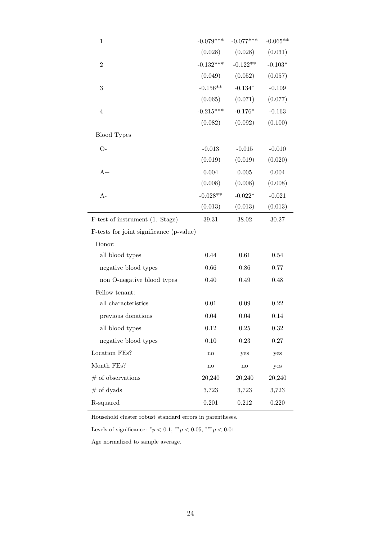| $\,1$                                    | $-0.079***$   | $-0.077***$   | $-0.065**$ |  |  |
|------------------------------------------|---------------|---------------|------------|--|--|
|                                          | (0.028)       | (0.028)       | (0.031)    |  |  |
| $\overline{2}$                           | $-0.132***$   | $-0.122**$    | $-0.103*$  |  |  |
|                                          | (0.049)       | (0.052)       | (0.057)    |  |  |
| $\overline{3}$                           | $-0.156**$    | $-0.134*$     | $-0.109$   |  |  |
|                                          | (0.065)       | (0.071)       | (0.077)    |  |  |
| $\overline{4}$                           | $-0.215***$   | $-0.176*$     | $-0.163$   |  |  |
|                                          | (0.082)       | (0.092)       | (0.100)    |  |  |
| <b>Blood Types</b>                       |               |               |            |  |  |
| $O-$                                     | $-0.013$      | $-0.015$      | $-0.010$   |  |  |
|                                          | (0.019)       | (0.019)       | (0.020)    |  |  |
| $A+$                                     | 0.004         | 0.005         | 0.004      |  |  |
|                                          | (0.008)       | (0.008)       | (0.008)    |  |  |
| $A-$                                     | $-0.028**$    | $-0.022*$     | $-0.021$   |  |  |
|                                          | (0.013)       | (0.013)       | (0.013)    |  |  |
| F-test of instrument (1. Stage)          | 39.31         | 38.02         | 30.27      |  |  |
| F-tests for joint significance (p-value) |               |               |            |  |  |
| Donor:                                   |               |               |            |  |  |
| all blood types                          | 0.44          | $\,0.61\,$    | 0.54       |  |  |
| negative blood types                     | $0.66\,$      | 0.86          | 0.77       |  |  |
| non O-negative blood types               | $0.40\,$      | 0.49          | 0.48       |  |  |
| Fellow tenant:                           |               |               |            |  |  |
| all characteristics                      | $0.01\,$      | $0.09\,$      | 0.22       |  |  |
| previous donations                       | 0.04          | 0.04          | 0.14       |  |  |
| all blood types                          | 0.12          | 0.25          | 0.32       |  |  |
| negative blood types                     | 0.10          | 0.23          | $0.27\,$   |  |  |
| Location FEs?                            | $\mathbf{no}$ | yes           | yes        |  |  |
| Month FEs?                               | $\mathbf{no}$ | $\mathbf{no}$ | yes        |  |  |
| $#$ of observations                      | 20,240        | 20,240        | 20,240     |  |  |
| $#$ of dyads                             | 3,723         | 3,723         | 3,723      |  |  |
| R-squared                                | 0.201         | 0.212         | 0.220      |  |  |
|                                          |               |               |            |  |  |

Household cluster robust standard errors in parentheses.

Levels of significance:  $^*p < 0.1, ^{**}p < 0.05, ^{***}p < 0.01$ 

Age normalized to sample average.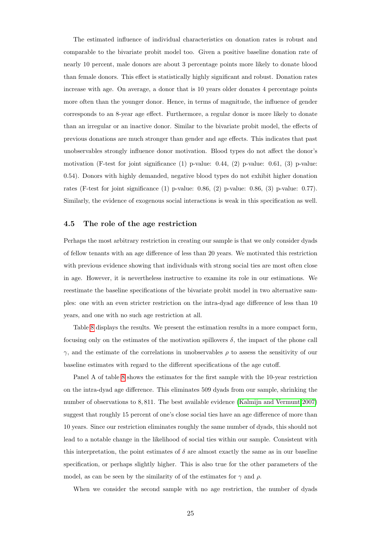The estimated influence of individual characteristics on donation rates is robust and comparable to the bivariate probit model too. Given a positive baseline donation rate of nearly 10 percent, male donors are about 3 percentage points more likely to donate blood than female donors. This effect is statistically highly significant and robust. Donation rates increase with age. On average, a donor that is 10 years older donates 4 percentage points more often than the younger donor. Hence, in terms of magnitude, the influence of gender corresponds to an 8-year age effect. Furthermore, a regular donor is more likely to donate than an irregular or an inactive donor. Similar to the bivariate probit model, the effects of previous donations are much stronger than gender and age effects. This indicates that past unobservables strongly influence donor motivation. Blood types do not affect the donor's motivation (F-test for joint significance  $(1)$  p-value: 0.44,  $(2)$  p-value: 0.61,  $(3)$  p-value: 0.54). Donors with highly demanded, negative blood types do not exhibit higher donation rates (F-test for joint significance (1) p-value: 0.86, (2) p-value: 0.86, (3) p-value: 0.77). Similarly, the evidence of exogenous social interactions is weak in this specification as well.

#### 4.5 The role of the age restriction

Perhaps the most arbitrary restriction in creating our sample is that we only consider dyads of fellow tenants with an age difference of less than 20 years. We motivated this restriction with previous evidence showing that individuals with strong social ties are most often close in age. However, it is nevertheless instructive to examine its role in our estimations. We reestimate the baseline specifications of the bivariate probit model in two alternative samples: one with an even stricter restriction on the intra-dyad age difference of less than 10 years, and one with no such age restriction at all.

Table [8](#page-29-0) displays the results. We present the estimation results in a more compact form, focusing only on the estimates of the motivation spillovers  $\delta$ , the impact of the phone call  $\gamma$ , and the estimate of the correlations in unobservables  $\rho$  to assess the sensitivity of our baseline estimates with regard to the different specifications of the age cutoff.

Panel A of table [8](#page-29-0) shows the estimates for the first sample with the 10-year restriction on the intra-dyad age difference. This eliminates 509 dyads from our sample, shrinking the number of observations to 8, 811. The best available evidence [\(Kalmijn and Vermunt 2007\)](#page-42-3) suggest that roughly 15 percent of one's close social ties have an age difference of more than 10 years. Since our restriction eliminates roughly the same number of dyads, this should not lead to a notable change in the likelihood of social ties within our sample. Consistent with this interpretation, the point estimates of  $\delta$  are almost exactly the same as in our baseline specification, or perhaps slightly higher. This is also true for the other parameters of the model, as can be seen by the similarity of of the estimates for  $\gamma$  and  $\rho$ .

When we consider the second sample with no age restriction, the number of dyads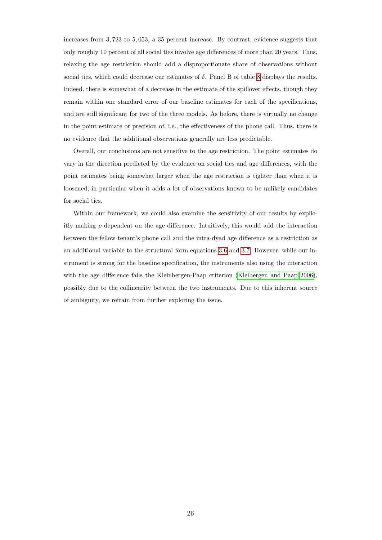increases from 3, 723 to 5, 053, a 35 percent increase. By contrast, evidence suggests that only roughly 10 percent of all social ties involve age differences of more than 20 years. Thus, relaxing the age restriction should add a disproportionate share of observations without social ties, which could decrease our estimates of  $\delta$ . Panel B of table [8](#page-29-0) displays the results. Indeed, there is somewhat of a decrease in the estimate of the spillover effects, though they remain within one standard error of our baseline estimates for each of the specifications, and are still significant for two of the three models. As before, there is virtually no change in the point estimate or precision of, i.e., the effectiveness of the phone call. Thus, there is no evidence that the additional observations generally are less predictable.

Overall, our conclusions are not sensitive to the age restriction. The point estimates do vary in the direction predicted by the evidence on social ties and age differences, with the point estimates being somewhat larger when the age restriction is tighter than when it is loosened; in particular when it adds a lot of observations known to be unlikely candidates for social ties.

Within our framework, we could also examine the sensitivity of our results by explicitly making  $\rho$  dependent on the age difference. Intuitively, this would add the interaction between the fellow tenant's phone call and the intra-dyad age difference as a restriction as an additional variable to the structural form equations [3.6](#page-12-2) and [3.7.](#page-12-2) However, while our instrument is strong for the baseline specification, the instruments also using the interaction with the age difference fails the Kleinbergen-Paap criterion [\(Kleibergen and Paap 2006\)](#page-42-11), possibly due to the collinearity between the two instruments. Due to this inherent source of ambiguity, we refrain from further exploring the issue.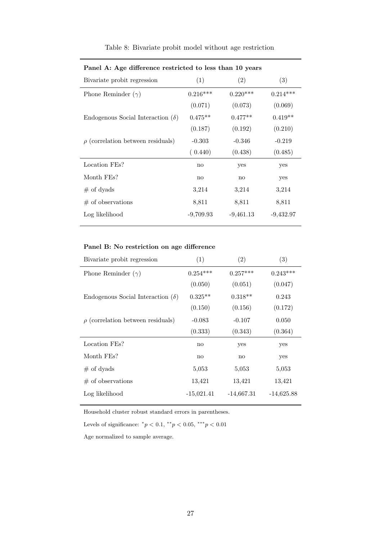| Bivariate probit regression              | (1)          | (2)          | (3)         |
|------------------------------------------|--------------|--------------|-------------|
| Phone Reminder $(\gamma)$                | $0.216***$   | $0.220***$   | $0.214***$  |
|                                          | (0.071)      | (0.073)      | (0.069)     |
| Endogenous Social Interaction $(\delta)$ | $0.475**$    | $0.477**$    | $0.419**$   |
|                                          | (0.187)      | (0.192)      | (0.210)     |
| $\rho$ (correlation between residuals)   | $-0.303$     | $-0.346$     | $-0.219$    |
|                                          | (0.440)      | (0.438)      | (0.485)     |
| Location FEs?                            | no           | yes          | yes         |
| Month FEs?                               | $\mathbf{n}$ | $\mathbf{n}$ | yes         |
| $\#$ of dyads                            | 3,214        | 3,214        | 3,214       |
| $\#$ of observations                     | 8,811        | 8,811        | 8,811       |
| Log likelihood                           | $-9,709.93$  | $-9,461.13$  | $-9,432.97$ |
|                                          |              |              |             |

Table 8: Bivariate probit model without age restriction

<span id="page-29-0"></span>Panel A: Age difference restricted to less than 10 years

#### Panel B: No restriction on age difference

| Bivariate probit regression              | (1)                    | (2)                    | (3)          |
|------------------------------------------|------------------------|------------------------|--------------|
| Phone Reminder $(\gamma)$                | $0.254***$             | $0.257***$             | $0.243***$   |
|                                          | (0.050)                | (0.051)                | (0.047)      |
| Endogenous Social Interaction $(\delta)$ | $0.325**$              | $0.318**$              | 0.243        |
|                                          | (0.150)                | (0.156)                | (0.172)      |
| $\rho$ (correlation between residuals)   | $-0.083$               | $-0.107$               | 0.050        |
|                                          | (0.333)                | (0.343)                | (0.364)      |
| Location FEs?                            | no                     | yes                    | yes          |
| Month FEs?                               | $\mathbf{n}\mathbf{o}$ | $\mathbf{n}\mathbf{o}$ | yes          |
| $#$ of dyads                             | 5,053                  | 5,053                  | 5,053        |
| $\#$ of observations                     | 13,421                 | 13,421                 | 13,421       |
| Log likelihood                           | $-15,021.41$           | $-14,667.31$           | $-14,625.88$ |

Household cluster robust standard errors in parentheses.

Levels of significance:  $^*p < 0.1, ^{**}p < 0.05, ^{***}p < 0.01$ 

Age normalized to sample average.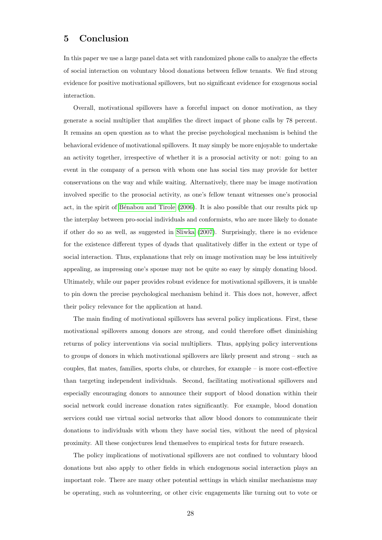### 5 Conclusion

In this paper we use a large panel data set with randomized phone calls to analyze the effects of social interaction on voluntary blood donations between fellow tenants. We find strong evidence for positive motivational spillovers, but no significant evidence for exogenous social interaction.

Overall, motivational spillovers have a forceful impact on donor motivation, as they generate a social multiplier that amplifies the direct impact of phone calls by 78 percent. It remains an open question as to what the precise psychological mechanism is behind the behavioral evidence of motivational spillovers. It may simply be more enjoyable to undertake an activity together, irrespective of whether it is a prosocial activity or not: going to an event in the company of a person with whom one has social ties may provide for better conservations on the way and while waiting. Alternatively, there may be image motivation involved specific to the prosocial activity, as one's fellow tenant witnesses one's prosocial act, in the spirit of Bénabou and Tirole [\(2006\)](#page-40-13). It is also possible that our results pick up the interplay between pro-social individuals and conformists, who are more likely to donate if other do so as well, as suggested in [Sliwka](#page-43-15) [\(2007\)](#page-43-15). Surprisingly, there is no evidence for the existence different types of dyads that qualitatively differ in the extent or type of social interaction. Thus, explanations that rely on image motivation may be less intuitively appealing, as impressing one's spouse may not be quite so easy by simply donating blood. Ultimately, while our paper provides robust evidence for motivational spillovers, it is unable to pin down the precise psychological mechanism behind it. This does not, however, affect their policy relevance for the application at hand.

The main finding of motivational spillovers has several policy implications. First, these motivational spillovers among donors are strong, and could therefore offset diminishing returns of policy interventions via social multipliers. Thus, applying policy interventions to groups of donors in which motivational spillovers are likely present and strong – such as couples, flat mates, families, sports clubs, or churches, for example – is more cost-effective than targeting independent individuals. Second, facilitating motivational spillovers and especially encouraging donors to announce their support of blood donation within their social network could increase donation rates significantly. For example, blood donation services could use virtual social networks that allow blood donors to communicate their donations to individuals with whom they have social ties, without the need of physical proximity. All these conjectures lend themselves to empirical tests for future research.

The policy implications of motivational spillovers are not confined to voluntary blood donations but also apply to other fields in which endogenous social interaction plays an important role. There are many other potential settings in which similar mechanisms may be operating, such as volunteering, or other civic engagements like turning out to vote or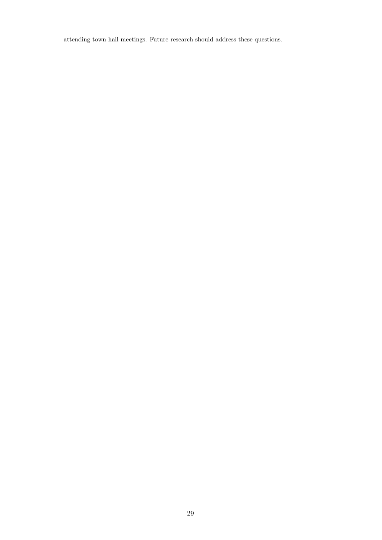attending town hall meetings. Future research should address these questions.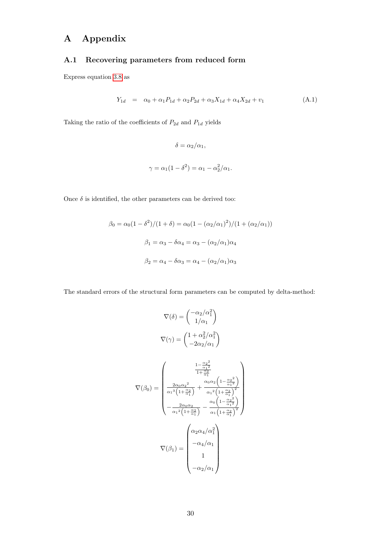# A Appendix

#### <span id="page-32-0"></span>A.1 Recovering parameters from reduced form

Express equation [3.8](#page-13-1) as

$$
Y_{1d} = \alpha_0 + \alpha_1 P_{1d} + \alpha_2 P_{2d} + \alpha_3 X_{1d} + \alpha_4 X_{2d} + v_1 \tag{A.1}
$$

Taking the ratio of the coefficients of  $P_{2d}$  and  $P_{1d}$  yields

$$
\delta = \alpha_2/\alpha_1,
$$
  

$$
\gamma = \alpha_1(1 - \delta^2) = \alpha_1 - \alpha_2^2/\alpha_1.
$$

Once  $\delta$  is identified, the other parameters can be derived too:

$$
\beta_0 = \alpha_0 (1 - \delta^2) / (1 + \delta) = \alpha_0 (1 - (\alpha_2 / \alpha_1)^2) / (1 + (\alpha_2 / \alpha_1))
$$

$$
\beta_1 = \alpha_3 - \delta \alpha_4 = \alpha_3 - (\alpha_2 / \alpha_1) \alpha_4
$$

$$
\beta_2 = \alpha_4 - \delta \alpha_3 = \alpha_4 - (\alpha_2 / \alpha_1) \alpha_3
$$

The standard errors of the structural form parameters can be computed by delta-method:

$$
\nabla(\delta) = \begin{pmatrix}\n-\alpha_2/\alpha_1^2 \\
1/\alpha_1\n\end{pmatrix}
$$
\n
$$
\nabla(\gamma) = \begin{pmatrix}\n1 + \alpha_2^2/\alpha_1^2 \\
1/\alpha_1\n\end{pmatrix}
$$
\n
$$
\nabla(\gamma) = \begin{pmatrix}\n1 + \alpha_2^2/\alpha_1^2 \\
-2\alpha_2/\alpha_1\n\end{pmatrix}
$$
\n
$$
\nabla(\beta_0) = \begin{pmatrix}\n\frac{1 - \frac{\alpha_2^2}{\alpha_1^2}}{1 + \frac{\alpha_2}{\alpha_1^2}} \\
\frac{2\alpha_0 \alpha_2^2}{\alpha_1^3 \left(1 + \frac{\alpha_2}{\alpha_1}\right)} + \frac{\alpha_0 \alpha_2 \left(1 - \frac{\alpha_2^2}{\alpha_1^2}\right)}{\alpha_1^2 \left(1 + \frac{\alpha_2}{\alpha_1}\right)^2} \\
-\frac{2\alpha_0 \alpha_2}{\alpha_1^2 \left(1 + \frac{\alpha_2}{\alpha_1}\right)} - \frac{\alpha_0 \left(1 - \frac{\alpha_2^2}{\alpha_1^2}\right)}{\alpha_1 \left(1 + \frac{\alpha_2}{\alpha_1}\right)^2}\n\end{pmatrix}
$$
\n
$$
\nabla(\beta_1) = \begin{pmatrix}\n\alpha_2 \alpha_4/\alpha_1^2 \\
-\alpha_4/\alpha_1 \\
1 \\
-\alpha_2/\alpha_1\n\end{pmatrix}
$$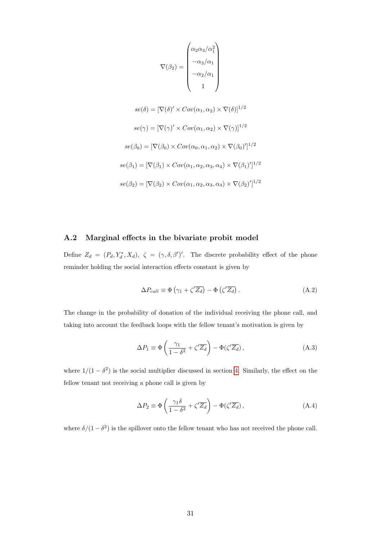$$
\nabla(\beta_2) = \begin{pmatrix}\n\alpha_2 \alpha_3 / \alpha_1^2 \\
-\alpha_3 / \alpha_1 \\
-\alpha_2 / \alpha_1 \\
1\n\end{pmatrix}
$$
\n
$$
se(\delta) = [\nabla(\delta)' \times Cov(\alpha_1, \alpha_2) \times \nabla(\delta)]^{1/2}
$$
\n
$$
se(\gamma) = [\nabla(\gamma)' \times Cov(\alpha_1, \alpha_2) \times \nabla(\gamma)]^{1/2}
$$
\n
$$
se(\beta_0) = [\nabla(\beta_0) \times Cov(\alpha_0, \alpha_1, \alpha_2) \times \nabla(\beta_0)']^{1/2}
$$
\n
$$
se(\beta_1) = [\nabla(\beta_1) \times Cov(\alpha_1, \alpha_2, \alpha_3, \alpha_4) \times \nabla(\beta_1)']^{1/2}
$$
\n
$$
se(\beta_2) = [\nabla(\beta_2) \times Cov(\alpha_1, \alpha_2, \alpha_3, \alpha_4) \times \nabla(\beta_2)']^{1/2}
$$

#### A.2 Marginal effects in the bivariate probit model

Define  $Z_d = (P_d, Y_d^*, X_d), \zeta = (\gamma, \delta, \beta')'.$  The discrete probability effect of the phone reminder holding the social interaction effects constant is given by

<span id="page-33-0"></span>
$$
\Delta P_{call} \equiv \Phi \left( \gamma_1 + \zeta' \overline{Z_d} \right) - \Phi \left( \zeta' \overline{Z_d} \right). \tag{A.2}
$$

The change in the probability of donation of the individual receiving the phone call, and taking into account the feedback loops with the fellow tenant's motivation is given by

<span id="page-33-1"></span>
$$
\Delta P_1 \equiv \Phi \left( \frac{\gamma_1}{1 - \delta^2} + \zeta' \overline{Z_d} \right) - \Phi(\zeta' \overline{Z_d}), \tag{A.3}
$$

where  $1/(1 - \delta^2)$  is the social multiplier discussed in section [4.](#page-15-0) Similarly, the effect on the fellow tenant not receiving a phone call is given by

<span id="page-33-2"></span>
$$
\Delta P_2 \equiv \Phi \left( \frac{\gamma_1 \delta}{1 - \delta^2} + \zeta' \overline{Z_d} \right) - \Phi(\zeta' \overline{Z_d}), \tag{A.4}
$$

where  $\delta/(1-\delta^2)$  is the spillover onto the fellow tenant who has not received the phone call.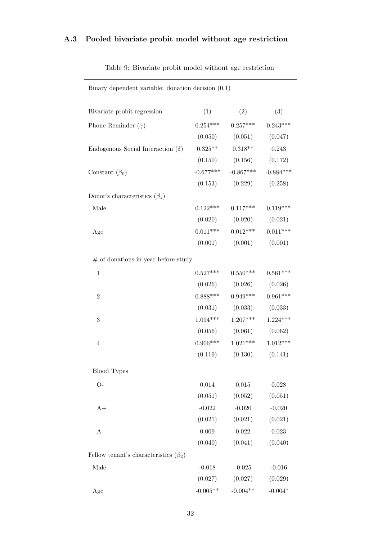## A.3 Pooled bivariate probit model without age restriction

| Binary dependent variable: donation decision $(0,1)$ |            |                                     |           |
|------------------------------------------------------|------------|-------------------------------------|-----------|
| Bivariate probit regression                          |            | (1) $(2)$ $(3)$                     |           |
| Phone Reminder $(\gamma)$                            |            | $0.254***$ $0.257***$ $0.243***$    |           |
|                                                      |            | $(0.050)$ $(0.051)$ $(0.047)$       |           |
| Endogenous Social Interaction $(\delta)$             |            | $0.325***$ $0.318***$ $0.243$       |           |
|                                                      |            | $(0.150)$ $(0.156)$ $(0.172)$       |           |
| Constant $(\beta_0)$                                 |            | $-0.677***$ $-0.867***$ $-0.884***$ |           |
|                                                      |            | $(0.153)$ $(0.229)$ $(0.258)$       |           |
| Donor's characteristics $(\beta_1)$                  |            |                                     |           |
| Male                                                 |            | $0.122***$ $0.117***$ $0.119***$    |           |
|                                                      |            | $(0.020)$ $(0.020)$ $(0.021)$       |           |
| Age                                                  |            | $0.011***$ $0.012***$ $0.011***$    |           |
|                                                      |            | $(0.001)$ $(0.001)$ $(0.001)$       |           |
| $#$ of donations in year before study                |            |                                     |           |
| $\,1$                                                |            | $0.527***$ $0.550***$ $0.561***$    |           |
|                                                      |            | $(0.026)$ $(0.026)$ $(0.026)$       |           |
| $\overline{2}$                                       |            | $0.888***$ $0.949***$ $0.961***$    |           |
|                                                      |            | $(0.031)$ $(0.033)$ $(0.033)$       |           |
| 3                                                    |            | $1.094***$ $1.207***$ $1.224***$    |           |
|                                                      |            | $(0.056)$ $(0.061)$ $(0.062)$       |           |
| $\overline{4}$                                       |            | $0.906***$ $1.021***$ $1.012***$    |           |
|                                                      |            | $(0.119)$ $(0.130)$ $(0.141)$       |           |
| <b>Blood Types</b>                                   |            |                                     |           |
| $O-$                                                 | $0.014\,$  | $\,0.015\,$                         | 0.028     |
|                                                      | (0.051)    | (0.052)                             | (0.051)   |
| $A+$                                                 | $-0.022$   | $-0.020$                            | $-0.020$  |
|                                                      | (0.021)    | (0.021)                             | (0.021)   |
| $A-$                                                 | 0.009      | $\,0.022\,$                         | 0.023     |
|                                                      | (0.040)    | (0.041)                             | (0.040)   |
| Fellow tenant's characteristics $(\beta_2)$          |            |                                     |           |
| Male                                                 | $-0.018$   | $-0.025$                            | $-0.016$  |
|                                                      | (0.027)    | (0.027)                             | (0.029)   |
| Age                                                  | $-0.005**$ | $-0.004**$                          | $-0.004*$ |

Table 9: Bivariate probit model without age restriction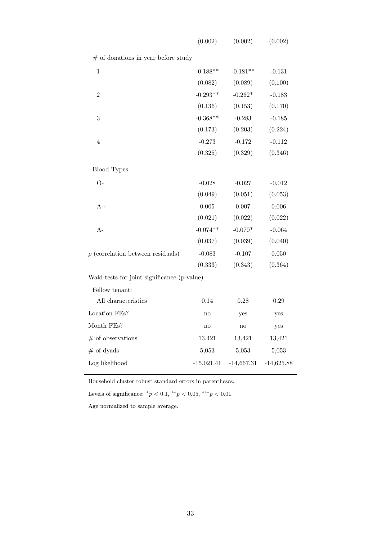| $#$ of donations in year before study       |            |            |           |
|---------------------------------------------|------------|------------|-----------|
| $\mathbf{1}$                                | $-0.188**$ | $-0.181**$ | $-0.131$  |
|                                             | (0.082)    | (0.089)    | (0.100)   |
| $\overline{2}$                              | $-0.293**$ | $-0.262*$  | $-0.183$  |
|                                             | (0.136)    | (0.153)    | (0.170)   |
| 3                                           | $-0.368**$ | $-0.283$   | $-0.185$  |
|                                             | (0.173)    | (0.203)    | (0.224)   |
| $\overline{4}$                              | $-0.273$   | $-0.172$   | $-0.112$  |
|                                             | (0.325)    | (0.329)    | (0.346)   |
| <b>Blood Types</b>                          |            |            |           |
| $O-$                                        | $-0.028$   | $-0.027$   | $-0.012$  |
|                                             | (0.049)    | (0.051)    | (0.053)   |
| $A+$                                        | 0.005      | 0.007      | 0.006     |
|                                             | (0.021)    | (0.022)    | (0.022)   |
| $A-$                                        | $-0.074**$ | $-0.070*$  | $-0.064$  |
|                                             | (0.037)    | (0.039)    | (0.040)   |
| $\rho$ (correlation between residuals)      | $-0.083$   | $-0.107$   | $0.050\,$ |
|                                             | (0.333)    | (0.343)    | (0.364)   |
| Wald-tests for joint significance (p-value) |            |            |           |
| Fellow tenant:                              |            |            |           |
| All characteristics                         | 0.14       | 0.28       | 0.29      |
| Location FEs?                               | no         | yes        | yes       |
| Month FEs?                                  | no         | no         | yes       |
| $#$ of observations                         | 13,421     | 13,421     | 13,421    |
| $#$ of dyads                                | 5,053      | 5,053      | 5,053     |

 $(0.002)$   $(0.002)$   $(0.002)$ 

Household cluster robust standard errors in parentheses.

Levels of significance:  $^*p < 0.1, ^{**}p < 0.05, ^{***}p < 0.01$ 

Age normalized to sample average.

Log likelihood -15,021.41 -14,667.31 -14,625.88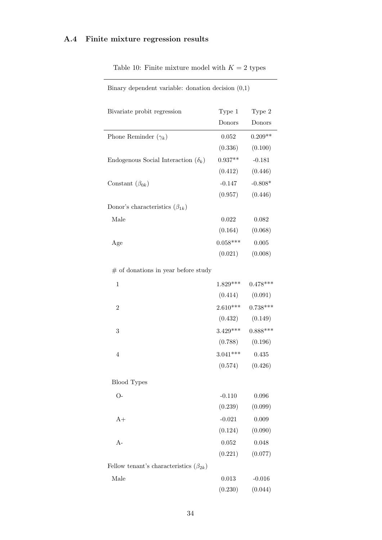## A.4 Finite mixture regression results

| Bivariate probit regression                    | Type 1     | Type 2              |
|------------------------------------------------|------------|---------------------|
|                                                | Donors     | Donors              |
| Phone Reminder $(\gamma_k)$                    | 0.052      | $0.209**$           |
|                                                | (0.336)    | (0.100)             |
| Endogenous Social Interaction $(\delta_k)$     | $0.937**$  | $-0.181$            |
|                                                | (0.412)    | (0.446)             |
| Constant $(\beta_{0k})$                        | $-0.147$   | $-0.808*$           |
|                                                |            | $(0.957)$ $(0.446)$ |
| Donor's characteristics $(\beta_{1k})$         |            |                     |
| Male                                           | 0.022      | 0.082               |
|                                                |            | $(0.164)$ $(0.068)$ |
| Age                                            | $0.058***$ | 0.005               |
|                                                | (0.021)    | (0.008)             |
| $#$ of donations in year before study          |            |                     |
| $\mathbf{1}$                                   | $1.829***$ | $0.478***$          |
|                                                |            | $(0.414)$ $(0.091)$ |
| $\overline{2}$                                 | $2.610***$ | $0.738***$          |
|                                                |            | $(0.432)$ $(0.149)$ |
| 3                                              | $3.429***$ | $0.888***$          |
|                                                |            | $(0.788)$ $(0.196)$ |
| $\overline{4}$                                 | $3.041***$ | 0.435               |
|                                                |            | $(0.574)$ $(0.426)$ |
| Blood Types                                    |            |                     |
| $O-$                                           | $-0.110$   | 0.096               |
|                                                | (0.239)    | (0.099)             |
| $A+$                                           | $-0.021$   | 0.009               |
|                                                | (0.124)    | (0.090)             |
| $A-$                                           | 0.052      | 0.048               |
|                                                | (0.221)    | (0.077)             |
| Fellow tenant's characteristics $(\beta_{2k})$ |            |                     |
| Male                                           | 0.013      | $-0.016$            |
|                                                | (0.230)    | (0.044)             |

Table 10: Finite mixture model with  $K = 2$  types

Binary dependent variable: donation decision (0,1)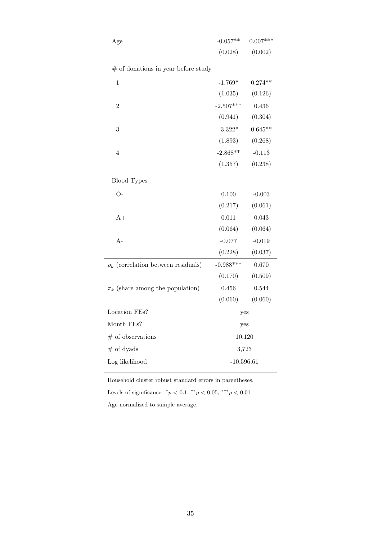| Age                                      | $-0.057**$   | $0.007***$ |
|------------------------------------------|--------------|------------|
|                                          | (0.028)      | (0.002)    |
| $#$ of donations in year before study    |              |            |
| 1                                        | $-1.769*$    | $0.274**$  |
|                                          | (1.035)      | (0.126)    |
| $\overline{2}$                           | $-2.507***$  | 0.436      |
|                                          | (0.941)      | (0.304)    |
| 3                                        | $-3.322*$    | $0.645**$  |
|                                          | (1.893)      | (0.268)    |
| 4                                        | $-2.868**$   | $-0.113$   |
|                                          | (1.357)      | (0.238)    |
| <b>Blood Types</b>                       |              |            |
| $O-$                                     | 0.100        | $-0.003$   |
|                                          | (0.217)      | (0.061)    |
| $A+$                                     | 0.011        | 0.043      |
|                                          | (0.064)      | (0.064)    |
| $A-$                                     | $-0.077$     | $-0.019$   |
|                                          | (0.228)      | (0.037)    |
| $\rho_k$ (correlation between residuals) | $-0.988***$  | 0.670      |
|                                          | (0.170)      | (0.509)    |
| $\pi_k$ (share among the population)     | 0.456        | 0.544      |
|                                          | (0.060)      | (0.060)    |
| Location FEs?                            | yes          |            |
| Month FEs?                               | yes          |            |
| $#$ of observations                      | 10,120       |            |
| $#$ of dyads                             | 3,723        |            |
| Log likelihood                           | $-10,596.61$ |            |
|                                          |              |            |

Household cluster robust standard errors in parentheses.

Levels of significance:  $^*p < 0.1, ^{**}p < 0.05, ^{***}p < 0.01$ 

Age normalized to sample average.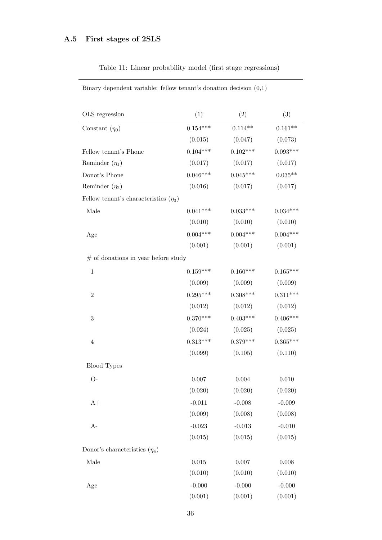## <span id="page-38-0"></span>A.5 First stages of 2SLS

| OLS regression                             | (1)         | (2)        | (3)        |
|--------------------------------------------|-------------|------------|------------|
| Constant $(\eta_0)$                        | $0.154***$  | $0.114**$  | $0.161**$  |
|                                            | (0.015)     | (0.047)    | (0.073)    |
| Fellow tenant's Phone                      | $0.104***$  | $0.102***$ | $0.093***$ |
| Reminder $(\eta_1)$                        | (0.017)     | (0.017)    | (0.017)    |
| Donor's Phone                              | $0.046***$  | $0.045***$ | $0.035**$  |
| Reminder $(\eta_2)$                        | (0.016)     | (0.017)    | (0.017)    |
| Fellow tenant's characteristics $(\eta_3)$ |             |            |            |
| Male                                       | $0.041***$  | $0.033***$ | $0.034***$ |
|                                            | (0.010)     | (0.010)    | (0.010)    |
| Age                                        | $0.004***$  | $0.004***$ | $0.004***$ |
|                                            | (0.001)     | (0.001)    | (0.001)    |
| $#$ of donations in year before study      |             |            |            |
| $\mathbf 1$                                | $0.159***$  | $0.160***$ | $0.165***$ |
|                                            | (0.009)     | (0.009)    | (0.009)    |
| $\overline{2}$                             | $0.295***$  | $0.308***$ | $0.311***$ |
|                                            | (0.012)     | (0.012)    | (0.012)    |
| $\boldsymbol{3}$                           | $0.370***$  | $0.403***$ | $0.406***$ |
|                                            | (0.024)     | (0.025)    | (0.025)    |
| $\overline{4}$                             | $0.313***$  | $0.379***$ | $0.365***$ |
|                                            | (0.099)     | (0.105)    | (0.110)    |
| <b>Blood Types</b>                         |             |            |            |
| $O-$                                       | 0.007       | 0.004      | 0.010      |
|                                            | (0.020)     | (0.020)    | (0.020)    |
| $A+$                                       | $-0.011$    | $-0.008$   | $-0.009$   |
|                                            | (0.009)     | (0.008)    | (0.008)    |
| $A-$                                       | $-0.023$    | $-0.013$   | $-0.010$   |
|                                            | (0.015)     | (0.015)    | (0.015)    |
| Donor's characteristics $(\eta_4)$         |             |            |            |
| Male                                       | $\,0.015\,$ | $0.007\,$  | 0.008      |
|                                            | (0.010)     | (0.010)    | (0.010)    |
| Age                                        | $-0.000$    | $-0.000$   | $-0.000$   |
|                                            | (0.001)     | (0.001)    | (0.001)    |

Table 11: Linear probability model (first stage regressions)

Binary dependent variable: fellow tenant's donation decision (0,1)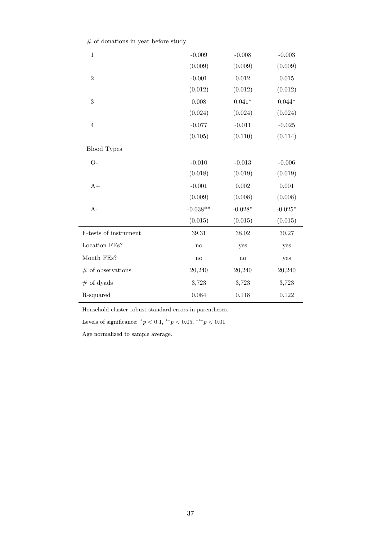|  | $#$ of donations in year before study |  |  |
|--|---------------------------------------|--|--|
|  |                                       |  |  |

| $\,1$                 | $-0.009$               | $-0.008$       | $-0.003$       |
|-----------------------|------------------------|----------------|----------------|
|                       | (0.009)                | (0.009)        | (0.009)        |
| $\overline{2}$        | $-0.001$               | 0.012          | 0.015          |
|                       | (0.012)                | (0.012)        | (0.012)        |
| 3                     | 0.008                  | $0.041^{\ast}$ | $0.044^{\ast}$ |
|                       | (0.024)                | (0.024)        | (0.024)        |
| $\overline{4}$        | $-0.077$               | $-0.011$       | $-0.025$       |
|                       | (0.105)                | (0.110)        | (0.114)        |
| <b>Blood Types</b>    |                        |                |                |
| $O-$                  | $-0.010$               | $-0.013$       | $-0.006$       |
|                       | (0.018)                | (0.019)        | (0.019)        |
| $A+$                  | $-0.001$               | 0.002          | 0.001          |
|                       | (0.009)                | (0.008)        | (0.008)        |
| $A-$                  | $-0.038**$             | $-0.028*$      | $-0.025*$      |
|                       | (0.015)                | (0.015)        | (0.015)        |
| F-tests of instrument | 39.31                  | 38.02          | 30.27          |
| Location FEs?         | $\mathbf{n}\mathbf{o}$ | yes            | yes            |
| Month FEs?            | $\mathbf{n}\mathbf{o}$ | $\mathbf{no}$  | yes            |
| $#$ of observations   | 20,240                 | 20,240         | 20,240         |
| $#$ of dyads          | 3,723                  | 3,723          | 3,723          |
| R-squared             | 0.084                  | 0.118          | 0.122          |

Household cluster robust standard errors in parentheses.

Levels of significance:  $^*p < 0.1, ^{**}p < 0.05, ^{***}p < 0.01$ 

Age normalized to sample average.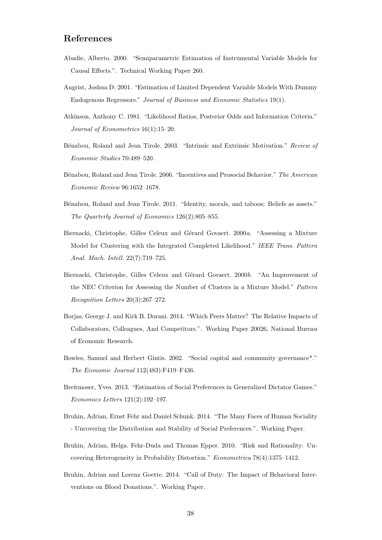### References

- <span id="page-40-5"></span>Abadie, Alberto. 2000. "Semiparametric Estimation of Instrumental Variable Models for Causal Effects.". Technical Working Paper 260.
- <span id="page-40-6"></span>Angrist, Joshua D. 2001. "Estimation of Limited Dependent Variable Models With Dummy Endogenous Regressors." Journal of Business and Economic Statistics 19(1).
- <span id="page-40-10"></span>Atkinson, Anthony C. 1981. "Likelihood Ratios, Posterior Odds and Information Criteria." Journal of Econometrics 16(1):15–20.
- <span id="page-40-1"></span>Bénabou, Roland and Jean Tirole. 2003. "Intrinsic and Extrinsic Motivation." Review of Economic Studies 70:489–520.
- <span id="page-40-13"></span>Bénabou, Roland and Jean Tirole. 2006. "Incentives and Prosocial Behavior." The American Economic Review 96:1652–1678.
- <span id="page-40-2"></span>B´enabou, Roland and Jean Tirole. 2011. "Identity, morals, and taboos: Beliefs as assets." The Quarterly Journal of Economics 126(2):805–855.
- <span id="page-40-12"></span>Biernacki, Christophe, Gilles Celeux and Gérard Govaert. 2000a. "Assessing a Mixture Model for Clustering with the Integrated Completed Likelihood." IEEE Trans. Pattern Anal. Mach. Intell. 22(7):719–725.
- <span id="page-40-11"></span>Biernacki, Christophe, Gilles Celeux and Gérard Govaert. 2000b. "An Improvement of the NEC Criterion for Assessing the Number of Clusters in a Mixture Model." Pattern Recognition Letters 20(3):267–272.
- <span id="page-40-4"></span>Borjas, George J. and Kirk B. Dorani. 2014. "Which Peers Matter? The Relative Impacts of Collaborators, Colleagues, And Competitors.". Working Paper 20026, National Bureau of Economic Research.
- <span id="page-40-0"></span>Bowles, Samuel and Herbert Gintis. 2002. "Social capital and community governance\*." The Economic Journal 112(483):F419–F436.
- <span id="page-40-7"></span>Breitmoser, Yves. 2013. "Estimation of Social Preferences in Generalized Dictator Games." Economics Letters 121(2):192–197.
- <span id="page-40-8"></span>Bruhin, Adrian, Ernst Fehr and Daniel Schunk. 2014. "The Many Faces of Human Sociality - Uncovering the Distribution and Stability of Social Preferences.". Working Paper.
- <span id="page-40-9"></span>Bruhin, Adrian, Helga. Fehr-Duda and Thomas Epper. 2010. "Risk and Rationality: Uncovering Heterogeneity in Probability Distortion." Econometrica 78(4):1375–1412.
- <span id="page-40-3"></span>Bruhin, Adrian and Lorenz Goette. 2014. "Call of Duty: The Impact of Behavioral Interventions on Blood Donations.". Working Paper.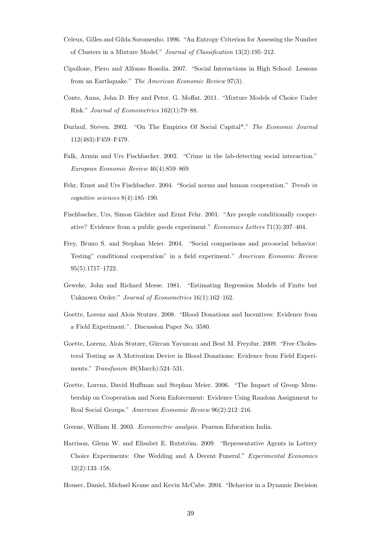- <span id="page-41-14"></span>Celeux, Gilles and Gilda Soromenho. 1996. "An Entropy Criterion for Assessing the Number of Clusters in a Mixture Model." Journal of Classification 13(2):195–212.
- <span id="page-41-7"></span>Cipollone, Piero and Alfonso Rosolia. 2007. "Social Interactions in High School: Lessons from an Earthquake." The American Economic Review 97(3).
- <span id="page-41-12"></span>Conte, Anna, John D. Hey and Peter. G. Moffat. 2011. "Mixture Models of Choice Under Risk." Journal of Econometrics 162(1):79–88.
- <span id="page-41-0"></span>Durlauf, Steven. 2002. "On The Empirics Of Social Capital\*." The Economic Journal 112(483):F459–F479.
- <span id="page-41-1"></span>Falk, Armin and Urs Fischbacher. 2002. "Crime in the lab-detecting social interaction." European Economic Review 46(4):859–869.
- <span id="page-41-2"></span>Fehr, Ernst and Urs Fischbacher. 2004. "Social norms and human cooperation." Trends in cognitive sciences 8(4):185–190.
- <span id="page-41-9"></span>Fischbacher, Urs, Simon Gächter and Ernst Fehr. 2001. "Are people conditionally cooperative? Evidence from a public goods experiment." Economics Letters 71(3):397–404.
- <span id="page-41-3"></span>Frey, Bruno S. and Stephan Meier. 2004. "Social comparisons and pro-social behavior: Testing" conditional cooperation" in a field experiment." American Economic Review 95(5):1717–1722.
- <span id="page-41-13"></span>Geweke, John and Richard Meese. 1981. "Estimating Regression Models of Finite but Unknown Order." Journal of Econometrics 16(1):162–162.
- <span id="page-41-5"></span>Goette, Lorenz and Alois Stutzer. 2008. "Blood Donations and Incentives: Evidence from a Field Experiment.". Discussion Paper No. 3580.
- <span id="page-41-6"></span>Goette, Lorenz, Alois Stutzer, Gürcan Yavuzcan and Beat M. Freydur. 2009. "Free Cholesterol Testing as A Motivation Device in Blood Donations: Evidence from Field Experiments." Transfusion 49(March):524-531.
- <span id="page-41-4"></span>Goette, Lorenz, David Huffman and Stephan Meier. 2006. "The Impact of Group Membership on Cooperation and Norm Enforcement: Evidence Using Random Assignment to Real Social Groups." American Economic Review 96(2):212–216.
- <span id="page-41-8"></span>Greene, William H. 2003. Econometric analysis. Pearson Education India.
- <span id="page-41-11"></span>Harrison, Glenn W. and Elisabet E. Rutström. 2009. "Representative Agents in Lottery Choice Experiments: One Wedding and A Decent Funeral." Experimental Economics 12(2):133–158.
- <span id="page-41-10"></span>Houser, Daniel, Michael Keane and Kevin McCabe. 2004. "Behavior in a Dynamic Decision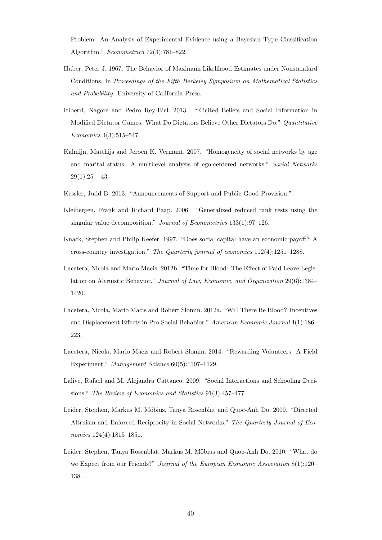Problem: An Analysis of Experimental Evidence using a Bayesian Type Classification Algorithm." Econometrica 72(3):781–822.

- <span id="page-42-8"></span>Huber, Peter J. 1967. The Behavior of Maximum Likelihood Estimates under Nonstandard Conditions. In Proceedings of the Fifth Berkeley Symposium on Mathematical Statistics and Probability. University of California Press.
- <span id="page-42-9"></span>Iriberri, Nagore and Pedro Rey-Biel. 2013. "Elicited Beliefs and Social Information in Modified Dictator Games: What Do Dictators Believe Other Dictators Do." Quantitative Economics 4(3):515–547.
- <span id="page-42-3"></span>Kalmijn, Matthijs and Jeroen K. Vermunt. 2007. "Homogeneity of social networks by age and marital status: A multilevel analysis of ego-centered networks." Social Networks  $29(1):25 - 43.$
- <span id="page-42-6"></span>Kessler, Judd B. 2013. "Announcements of Support and Public Good Provision.".
- <span id="page-42-11"></span>Kleibergen, Frank and Richard Paap. 2006. "Generalized reduced rank tests using the singular value decomposition." Journal of Econometrics 133(1):97–126.
- <span id="page-42-0"></span>Knack, Stephen and Philip Keefer. 1997. "Does social capital have an economic payoff? A cross-country investigation." The Quarterly journal of economics 112(4):1251–1288.
- <span id="page-42-4"></span>Lacetera, Nicola and Mario Macis. 2012b. "Time for Blood: The Effect of Paid Leave Legislation on Altruistic Behavior." Journal of Law, Economic, and Organization 29(6):1384– 1420.
- <span id="page-42-10"></span>Lacetera, Nicola, Mario Macis and Robert Slonim. 2012a. "Will There Be Blood? Incentives and Displacement Effects in Pro-Social Behabior." American Economic Journal 4(1):186– 223.
- <span id="page-42-7"></span>Lacetera, Nicola, Mario Macis and Robert Slonim. 2014. "Rewarding Volunteers: A Field Experiment." Management Science 60(5):1107–1129.
- <span id="page-42-5"></span>Lalive, Rafael and M. Alejandra Cattaneo. 2009. "Social Interactions and Schooling Decisions." The Review of Economics and Statistics 91(3):457–477.
- <span id="page-42-1"></span>Leider, Stephen, Markus M. Möbius, Tanya Rosenblat and Quoc-Anh Do. 2009. "Directed Altruism and Enforced Reciprocity in Social Networks." The Quarterly Journal of Economics 124(4):1815–1851.
- <span id="page-42-2"></span>Leider, Stephen, Tanya Rosenblat, Markus M. Möbius and Quoc-Anh Do. 2010. "What do we Expect from our Friends?" Journal of the European Economic Association 8(1):120– 138.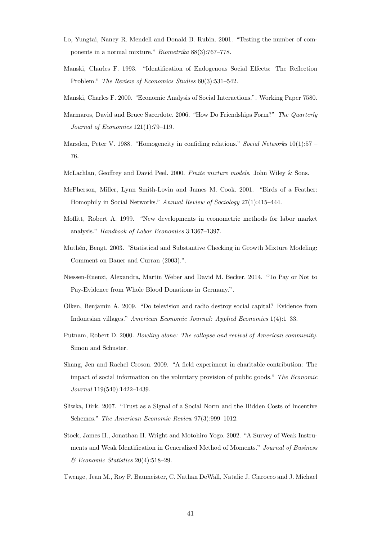- <span id="page-43-11"></span>Lo, Yungtai, Nancy R. Mendell and Donald B. Rubin. 2001. "Testing the number of components in a normal mixture." Biometrika 88(3):767–778.
- <span id="page-43-8"></span>Manski, Charles F. 1993. "Identification of Endogenous Social Effects: The Reflection Problem." The Review of Economics Studies 60(3):531–542.
- <span id="page-43-7"></span>Manski, Charles F. 2000. "Economic Analysis of Social Interactions.". Working Paper 7580.
- <span id="page-43-4"></span>Marmaros, David and Bruce Sacerdote. 2006. "How Do Friendships Form?" The Quarterly Journal of Economics 121(1):79–119.
- <span id="page-43-5"></span>Marsden, Peter V. 1988. "Homogeneity in confiding relations." Social Networks 10(1):57 – 76.
- <span id="page-43-10"></span>McLachlan, Geoffrey and David Peel. 2000. Finite mixture models. John Wiley & Sons.
- <span id="page-43-6"></span>McPherson, Miller, Lynn Smith-Lovin and James M. Cook. 2001. "Birds of a Feather: Homophily in Social Networks." Annual Review of Sociology 27(1):415–444.
- <span id="page-43-13"></span>Moffitt, Robert A. 1999. "New developments in econometric methods for labor market analysis." Handbook of Labor Economics 3:1367–1397.
- <span id="page-43-12"></span>Muthén, Bengt. 2003. "Statistical and Substantive Checking in Growth Mixture Modeling: Comment on Bauer and Curran (2003).".
- <span id="page-43-9"></span>Niessen-Ruenzi, Alexandra, Martin Weber and David M. Becker. 2014. "To Pay or Not to Pay-Evidence from Whole Blood Donations in Germany.".
- <span id="page-43-1"></span>Olken, Benjamin A. 2009. "Do television and radio destroy social capital? Evidence from Indonesian villages." American Economic Journal: Applied Economics 1(4):1–33.
- <span id="page-43-0"></span>Putnam, Robert D. 2000. Bowling alone: The collapse and revival of American community. Simon and Schuster.
- <span id="page-43-2"></span>Shang, Jen and Rachel Croson. 2009. "A field experiment in charitable contribution: The impact of social information on the voluntary provision of public goods." The Economic Journal 119(540):1422–1439.
- <span id="page-43-15"></span>Sliwka, Dirk. 2007. "Trust as a Signal of a Social Norm and the Hidden Costs of Incentive Schemes." The American Economic Review 97(3):999–1012.
- <span id="page-43-14"></span>Stock, James H., Jonathan H. Wright and Motohiro Yogo. 2002. "A Survey of Weak Instruments and Weak Identification in Generalized Method of Moments." Journal of Business & Economic Statistics 20(4):518–29.
- <span id="page-43-3"></span>Twenge, Jean M., Roy F. Baumeister, C. Nathan DeWall, Natalie J. Ciarocco and J. Michael